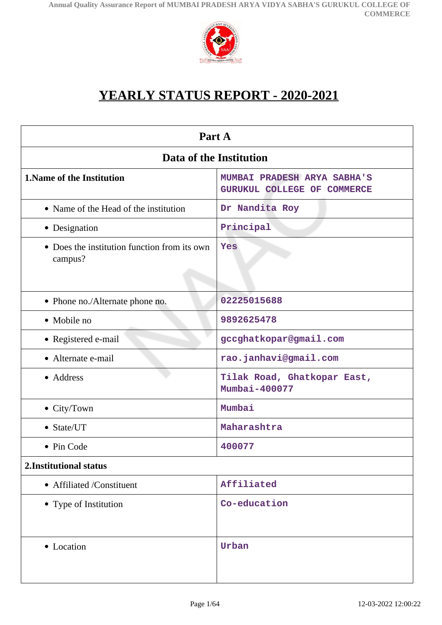

# **YEARLY STATUS REPORT - 2020-2021**

| Part A                                                  |                                                                   |  |
|---------------------------------------------------------|-------------------------------------------------------------------|--|
| Data of the Institution                                 |                                                                   |  |
| <b>1. Name of the Institution</b>                       | MUMBAI PRADESH ARYA SABHA'S<br><b>GURUKUL COLLEGE OF COMMERCE</b> |  |
| • Name of the Head of the institution                   | Dr Nandita Roy                                                    |  |
| • Designation                                           | Principal                                                         |  |
| • Does the institution function from its own<br>campus? | Yes                                                               |  |
| • Phone no./Alternate phone no.                         | 02225015688                                                       |  |
| • Mobile no                                             | 9892625478                                                        |  |
| • Registered e-mail                                     | gccghatkopar@gmail.com                                            |  |
| • Alternate e-mail                                      | rao.janhavi@gmail.com                                             |  |
| • Address                                               | Tilak Road, Ghatkopar East,<br>Mumbai-400077                      |  |
| $\bullet$ City/Town                                     | Mumbai                                                            |  |
| • State/UT                                              | Maharashtra                                                       |  |
| • Pin Code                                              | 400077                                                            |  |
| 2. Institutional status                                 |                                                                   |  |
| • Affiliated /Constituent                               | Affiliated                                                        |  |
| • Type of Institution                                   | Co-education                                                      |  |
| • Location                                              | Urban                                                             |  |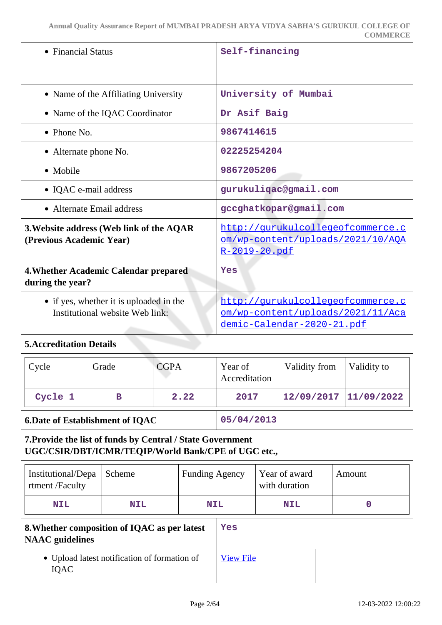|                                                                                                                   |                                      |             |                       |                          |                            |                                                                        | <b>COMMERCE</b>                                                        |
|-------------------------------------------------------------------------------------------------------------------|--------------------------------------|-------------|-----------------------|--------------------------|----------------------------|------------------------------------------------------------------------|------------------------------------------------------------------------|
| • Financial Status                                                                                                |                                      |             | Self-financing        |                          |                            |                                                                        |                                                                        |
|                                                                                                                   | • Name of the Affiliating University |             |                       |                          |                            | University of Mumbai                                                   |                                                                        |
|                                                                                                                   | • Name of the IQAC Coordinator       |             |                       |                          | Dr Asif Baig               |                                                                        |                                                                        |
| $\bullet$ Phone No.                                                                                               |                                      |             |                       | 9867414615               |                            |                                                                        |                                                                        |
| • Alternate phone No.                                                                                             |                                      |             |                       | 02225254204              |                            |                                                                        |                                                                        |
| • Mobile                                                                                                          |                                      |             |                       | 9867205206               |                            |                                                                        |                                                                        |
| • IQAC e-mail address                                                                                             |                                      |             |                       |                          |                            | gurukuliqac@gmail.com                                                  |                                                                        |
| • Alternate Email address                                                                                         |                                      |             |                       |                          |                            | gccghatkopar@gmail.com                                                 |                                                                        |
| 3. Website address (Web link of the AQAR<br>(Previous Academic Year)                                              |                                      |             |                       | <u>R-2019-20.pdf</u>     |                            |                                                                        | http://gurukulcollegeofcommerce.c<br>om/wp-content/uploads/2021/10/AQA |
| 4. Whether Academic Calendar prepared<br>during the year?                                                         |                                      |             |                       | Yes                      |                            |                                                                        |                                                                        |
| • if yes, whether it is uploaded in the<br>Institutional website Web link:                                        |                                      |             |                       |                          | demic-Calendar-2020-21.pdf | http://gurukulcollegeofcommerce.c<br>om/wp-content/uploads/2021/11/Aca |                                                                        |
| <b>5. Accreditation Details</b>                                                                                   |                                      |             |                       |                          |                            |                                                                        |                                                                        |
| Cycle                                                                                                             | Grade                                | <b>CGPA</b> |                       | Year of<br>Accreditation |                            | Validity from                                                          | Validity to                                                            |
| Cycle 1                                                                                                           | $\mathbf B$                          |             | 2.22                  | 2017                     |                            | 12/09/2017                                                             | 11/09/2022                                                             |
| <b>6.Date of Establishment of IQAC</b>                                                                            |                                      |             |                       | 05/04/2013               |                            |                                                                        |                                                                        |
| 7. Provide the list of funds by Central / State Government<br>UGC/CSIR/DBT/ICMR/TEQIP/World Bank/CPE of UGC etc., |                                      |             |                       |                          |                            |                                                                        |                                                                        |
| Institutional/Depa<br>rtment /Faculty                                                                             | Scheme                               |             | <b>Funding Agency</b> |                          |                            | Year of award<br>with duration                                         | Amount                                                                 |
| <b>NIL</b>                                                                                                        | <b>NIL</b>                           |             | NIL                   |                          |                            | <b>NIL</b>                                                             | $\mathbf 0$                                                            |
|                                                                                                                   |                                      |             |                       |                          |                            |                                                                        |                                                                        |

| 8. Whether composition of IQAC as per latest<br><b>NAAC</b> guidelines | Yes              |  |
|------------------------------------------------------------------------|------------------|--|
| • Upload latest notification of formation of<br><b>IOAC</b>            | <b>View File</b> |  |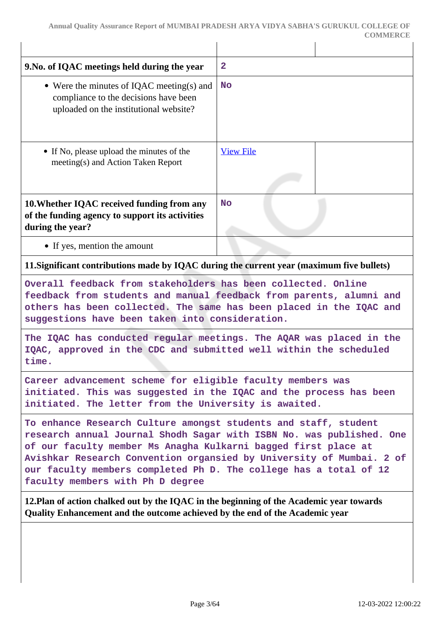| $\overline{2}$<br>9. No. of IQAC meetings held during the year<br>• Were the minutes of IQAC meeting(s) and<br><b>No</b><br>compliance to the decisions have been<br>uploaded on the institutional website?<br>• If No, please upload the minutes of the<br><b>View File</b><br>meeting(s) and Action Taken Report<br>10. Whether IQAC received funding from any<br><b>No</b><br>of the funding agency to support its activities<br>during the year?<br>• If yes, mention the amount<br>11. Significant contributions made by IQAC during the current year (maximum five bullets)<br>Overall feedback from stakeholders has been collected. Online<br>feedback from students and manual feedback from parents, alumni and<br>others has been collected. The same has been placed in the IQAC and<br>suggestions have been taken into consideration.<br>The IQAC has conducted regular meetings. The AQAR was placed in the<br>IQAC, approved in the CDC and submitted well within the scheduled<br>time.<br>Career advancement scheme for eligible faculty members was<br>initiated. This was suggested in the IQAC and the process has been<br>initiated. The letter from the University is awaited.<br>To enhance Research Culture amongst students and staff, student<br>research annual Journal Shodh Sagar with ISBN No. was published. One<br>of our faculty member Ms Anagha Kulkarni bagged first place at<br>Avishkar Research Convention organsied by University of Mumbai. 2 of<br>our faculty members completed Ph D. The college has a total of 12<br>faculty members with Ph D degree<br>12. Plan of action chalked out by the IQAC in the beginning of the Academic year towards<br>Quality Enhancement and the outcome achieved by the end of the Academic year |  |  |  |
|---------------------------------------------------------------------------------------------------------------------------------------------------------------------------------------------------------------------------------------------------------------------------------------------------------------------------------------------------------------------------------------------------------------------------------------------------------------------------------------------------------------------------------------------------------------------------------------------------------------------------------------------------------------------------------------------------------------------------------------------------------------------------------------------------------------------------------------------------------------------------------------------------------------------------------------------------------------------------------------------------------------------------------------------------------------------------------------------------------------------------------------------------------------------------------------------------------------------------------------------------------------------------------------------------------------------------------------------------------------------------------------------------------------------------------------------------------------------------------------------------------------------------------------------------------------------------------------------------------------------------------------------------------------------------------------------------------------------------------------------------------------------------------|--|--|--|
|                                                                                                                                                                                                                                                                                                                                                                                                                                                                                                                                                                                                                                                                                                                                                                                                                                                                                                                                                                                                                                                                                                                                                                                                                                                                                                                                                                                                                                                                                                                                                                                                                                                                                                                                                                                 |  |  |  |
|                                                                                                                                                                                                                                                                                                                                                                                                                                                                                                                                                                                                                                                                                                                                                                                                                                                                                                                                                                                                                                                                                                                                                                                                                                                                                                                                                                                                                                                                                                                                                                                                                                                                                                                                                                                 |  |  |  |
|                                                                                                                                                                                                                                                                                                                                                                                                                                                                                                                                                                                                                                                                                                                                                                                                                                                                                                                                                                                                                                                                                                                                                                                                                                                                                                                                                                                                                                                                                                                                                                                                                                                                                                                                                                                 |  |  |  |
|                                                                                                                                                                                                                                                                                                                                                                                                                                                                                                                                                                                                                                                                                                                                                                                                                                                                                                                                                                                                                                                                                                                                                                                                                                                                                                                                                                                                                                                                                                                                                                                                                                                                                                                                                                                 |  |  |  |
|                                                                                                                                                                                                                                                                                                                                                                                                                                                                                                                                                                                                                                                                                                                                                                                                                                                                                                                                                                                                                                                                                                                                                                                                                                                                                                                                                                                                                                                                                                                                                                                                                                                                                                                                                                                 |  |  |  |
|                                                                                                                                                                                                                                                                                                                                                                                                                                                                                                                                                                                                                                                                                                                                                                                                                                                                                                                                                                                                                                                                                                                                                                                                                                                                                                                                                                                                                                                                                                                                                                                                                                                                                                                                                                                 |  |  |  |
|                                                                                                                                                                                                                                                                                                                                                                                                                                                                                                                                                                                                                                                                                                                                                                                                                                                                                                                                                                                                                                                                                                                                                                                                                                                                                                                                                                                                                                                                                                                                                                                                                                                                                                                                                                                 |  |  |  |
|                                                                                                                                                                                                                                                                                                                                                                                                                                                                                                                                                                                                                                                                                                                                                                                                                                                                                                                                                                                                                                                                                                                                                                                                                                                                                                                                                                                                                                                                                                                                                                                                                                                                                                                                                                                 |  |  |  |
|                                                                                                                                                                                                                                                                                                                                                                                                                                                                                                                                                                                                                                                                                                                                                                                                                                                                                                                                                                                                                                                                                                                                                                                                                                                                                                                                                                                                                                                                                                                                                                                                                                                                                                                                                                                 |  |  |  |
|                                                                                                                                                                                                                                                                                                                                                                                                                                                                                                                                                                                                                                                                                                                                                                                                                                                                                                                                                                                                                                                                                                                                                                                                                                                                                                                                                                                                                                                                                                                                                                                                                                                                                                                                                                                 |  |  |  |
|                                                                                                                                                                                                                                                                                                                                                                                                                                                                                                                                                                                                                                                                                                                                                                                                                                                                                                                                                                                                                                                                                                                                                                                                                                                                                                                                                                                                                                                                                                                                                                                                                                                                                                                                                                                 |  |  |  |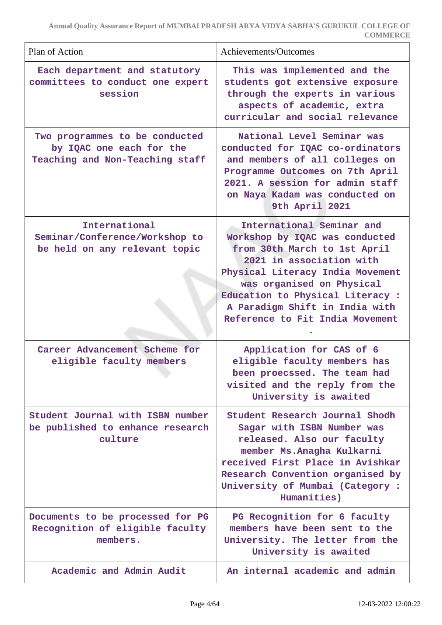| Plan of Action                                                                                | Achievements/Outcomes                                                                                                                                                                                                                                                                             |
|-----------------------------------------------------------------------------------------------|---------------------------------------------------------------------------------------------------------------------------------------------------------------------------------------------------------------------------------------------------------------------------------------------------|
| Each department and statutory<br>committees to conduct one expert<br>session                  | This was implemented and the<br>students got extensive exposure<br>through the experts in various<br>aspects of academic, extra<br>curricular and social relevance                                                                                                                                |
| Two programmes to be conducted<br>by IQAC one each for the<br>Teaching and Non-Teaching staff | National Level Seminar was<br>conducted for IQAC co-ordinators<br>and members of all colleges on<br>Programme Outcomes on 7th April<br>2021. A session for admin staff<br>on Naya Kadam was conducted on<br>9th April 2021                                                                        |
| International<br>Seminar/Conference/Workshop to<br>be held on any relevant topic              | International Seminar and<br>Workshop by IQAC was conducted<br>from 30th March to 1st April<br>2021 in association with<br>Physical Literacy India Movement<br>was organised on Physical<br>Education to Physical Literacy :<br>A Paradigm Shift in India with<br>Reference to Fit India Movement |
| Career Advancement Scheme for<br>eligible faculty members                                     | Application for CAS of 6<br>eligible faculty members has<br>been proecssed. The team had<br>visited and the reply from the<br>University is awaited                                                                                                                                               |
| Student Journal with ISBN number<br>be published to enhance research<br>culture               | Student Research Journal Shodh<br>Sagar with ISBN Number was<br>released. Also our faculty<br>member Ms. Anagha Kulkarni<br>received First Place in Avishkar<br>Research Convention organised by<br>University of Mumbai (Category:<br>Humanities)                                                |
| Documents to be processed for PG<br>Recognition of eligible faculty<br>members.               | PG Recognition for 6 faculty<br>members have been sent to the<br>University. The letter from the<br>University is awaited                                                                                                                                                                         |
| Academic and Admin Audit                                                                      | An internal academic and admin                                                                                                                                                                                                                                                                    |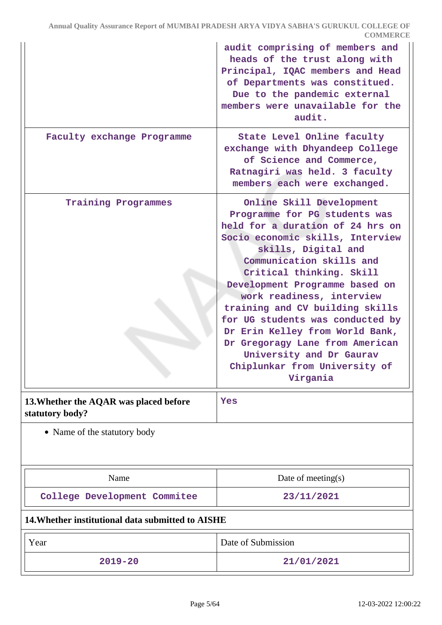|                                                           | audit comprising of members and<br>heads of the trust along with<br>Principal, IQAC members and Head<br>of Departments was constitued.<br>Due to the pandemic external<br>members were unavailable for the<br>audit.                                                                                                                                                                                                                                                                                  |
|-----------------------------------------------------------|-------------------------------------------------------------------------------------------------------------------------------------------------------------------------------------------------------------------------------------------------------------------------------------------------------------------------------------------------------------------------------------------------------------------------------------------------------------------------------------------------------|
| Faculty exchange Programme                                | State Level Online faculty<br>exchange with Dhyandeep College<br>of Science and Commerce,<br>Ratnagiri was held. 3 faculty<br>members each were exchanged.                                                                                                                                                                                                                                                                                                                                            |
| <b>Training Programmes</b>                                | Online Skill Development<br>Programme for PG students was<br>held for a duration of 24 hrs on<br>Socio economic skills, Interview<br>skills, Digital and<br>Communication skills and<br>Critical thinking. Skill<br>Development Programme based on<br>work readiness, interview<br>training and CV building skills<br>for UG students was conducted by<br>Dr Erin Kelley from World Bank,<br>Dr Gregoragy Lane from American<br>University and Dr Gaurav<br>Chiplunkar from University of<br>Virgania |
| 13. Whether the AQAR was placed before<br>statutory body? | Yes                                                                                                                                                                                                                                                                                                                                                                                                                                                                                                   |
| • Name of the statutory body                              |                                                                                                                                                                                                                                                                                                                                                                                                                                                                                                       |
| Name                                                      | Date of meeting $(s)$                                                                                                                                                                                                                                                                                                                                                                                                                                                                                 |
| College Development Commitee                              | 23/11/2021                                                                                                                                                                                                                                                                                                                                                                                                                                                                                            |
| 14. Whether institutional data submitted to AISHE         |                                                                                                                                                                                                                                                                                                                                                                                                                                                                                                       |
| Year                                                      | Date of Submission                                                                                                                                                                                                                                                                                                                                                                                                                                                                                    |
| $2019 - 20$                                               | 21/01/2021                                                                                                                                                                                                                                                                                                                                                                                                                                                                                            |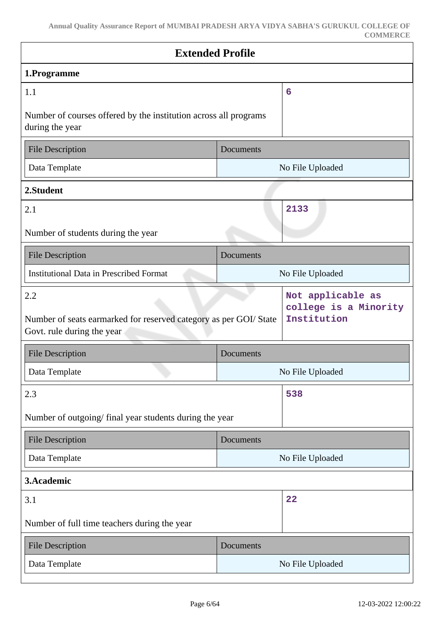| <b>Extended Profile</b>                                                                                |                  |                                                           |
|--------------------------------------------------------------------------------------------------------|------------------|-----------------------------------------------------------|
| 1.Programme                                                                                            |                  |                                                           |
| 1.1                                                                                                    |                  | 6                                                         |
| Number of courses offered by the institution across all programs<br>during the year                    |                  |                                                           |
| <b>File Description</b>                                                                                | Documents        |                                                           |
| Data Template                                                                                          |                  | No File Uploaded                                          |
| 2.Student                                                                                              |                  |                                                           |
| 2.1                                                                                                    |                  | 2133                                                      |
| Number of students during the year                                                                     |                  |                                                           |
| <b>File Description</b>                                                                                | Documents        |                                                           |
| <b>Institutional Data in Prescribed Format</b>                                                         | No File Uploaded |                                                           |
| 2.2<br>Number of seats earmarked for reserved category as per GOI/ State<br>Govt. rule during the year |                  | Not applicable as<br>college is a Minority<br>Institution |
| <b>File Description</b>                                                                                | Documents        |                                                           |
| Data Template                                                                                          | No File Uploaded |                                                           |
| 2.3                                                                                                    |                  | 538                                                       |
| Number of outgoing/final year students during the year                                                 |                  |                                                           |
| <b>File Description</b>                                                                                | Documents        |                                                           |
| Data Template                                                                                          | No File Uploaded |                                                           |
| 3.Academic                                                                                             |                  |                                                           |
| 3.1                                                                                                    |                  | 22                                                        |
| Number of full time teachers during the year                                                           |                  |                                                           |
| <b>File Description</b>                                                                                | Documents        |                                                           |
| Data Template                                                                                          | No File Uploaded |                                                           |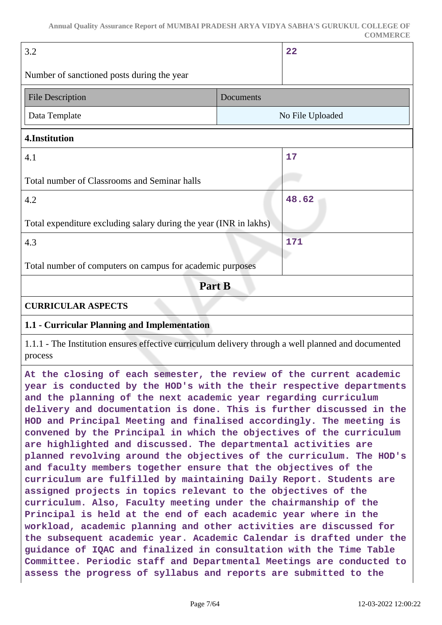| 3.2                                                                                                             |           | 22               |  |
|-----------------------------------------------------------------------------------------------------------------|-----------|------------------|--|
| Number of sanctioned posts during the year                                                                      |           |                  |  |
| <b>File Description</b>                                                                                         | Documents |                  |  |
| Data Template                                                                                                   |           | No File Uploaded |  |
| 4.Institution                                                                                                   |           |                  |  |
| 4.1                                                                                                             |           | 17               |  |
| Total number of Classrooms and Seminar halls                                                                    |           |                  |  |
| 4.2                                                                                                             |           | 48.62            |  |
| Total expenditure excluding salary during the year (INR in lakhs)                                               |           |                  |  |
| 4.3                                                                                                             |           | 171              |  |
| Total number of computers on campus for academic purposes                                                       |           |                  |  |
| Part B                                                                                                          |           |                  |  |
| <b>CURRICULAR ASPECTS</b>                                                                                       |           |                  |  |
| 1.1 - Curricular Planning and Implementation                                                                    |           |                  |  |
| 1. 1. 1. 1. THE LITERAL PRODUCT DECEMBER 2018. THE RESIDENT AND RELEASED TO A LITERATURE OF THE LITERATURE OF A |           |                  |  |

1.1.1 - The Institution ensures effective curriculum delivery through a well planned and documented process

**At the closing of each semester, the review of the current academic year is conducted by the HOD's with the their respective departments and the planning of the next academic year regarding curriculum delivery and documentation is done. This is further discussed in the HOD and Principal Meeting and finalised accordingly. The meeting is convened by the Principal in which the objectives of the curriculum are highlighted and discussed. The departmental activities are planned revolving around the objectives of the curriculum. The HOD's and faculty members together ensure that the objectives of the curriculum are fulfilled by maintaining Daily Report. Students are assigned projects in topics relevant to the objectives of the curriculum. Also, Faculty meeting under the chairmanship of the Principal is held at the end of each academic year where in the workload, academic planning and other activities are discussed for the subsequent academic year. Academic Calendar is drafted under the guidance of IQAC and finalized in consultation with the Time Table Committee. Periodic staff and Departmental Meetings are conducted to assess the progress of syllabus and reports are submitted to the**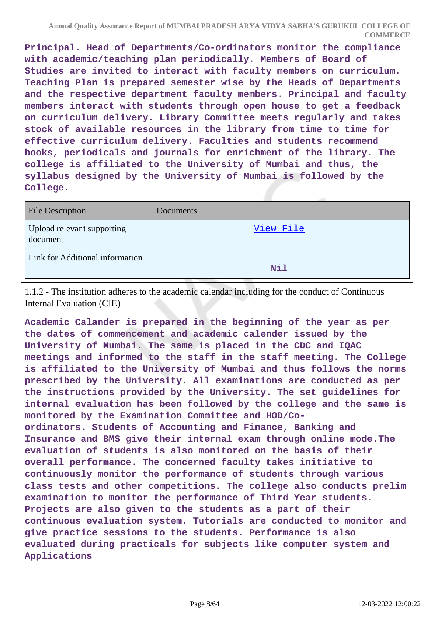**Principal. Head of Departments/Co-ordinators monitor the compliance with academic/teaching plan periodically. Members of Board of Studies are invited to interact with faculty members on curriculum. Teaching Plan is prepared semester wise by the Heads of Departments and the respective department faculty members. Principal and faculty members interact with students through open house to get a feedback on curriculum delivery. Library Committee meets regularly and takes stock of available resources in the library from time to time for effective curriculum delivery. Faculties and students recommend books, periodicals and journals for enrichment of the library. The college is affiliated to the University of Mumbai and thus, the syllabus designed by the University of Mumbai is followed by the College.**

| <b>File Description</b>                | Documents |
|----------------------------------------|-----------|
| Upload relevant supporting<br>document | View File |
| Link for Additional information        | Nil       |

1.1.2 - The institution adheres to the academic calendar including for the conduct of Continuous Internal Evaluation (CIE)

**Academic Calander is prepared in the beginning of the year as per the dates of commencement and academic calender issued by the University of Mumbai. The same is placed in the CDC and IQAC meetings and informed to the staff in the staff meeting. The College is affiliated to the University of Mumbai and thus follows the norms prescribed by the University. All examinations are conducted as per the instructions provided by the University. The set guidelines for internal evaluation has been followed by the college and the same is monitored by the Examination Committee and HOD/Coordinators. Students of Accounting and Finance, Banking and Insurance and BMS give their internal exam through online mode.The evaluation of students is also monitored on the basis of their overall performance. The concerned faculty takes initiative to continuously monitor the performance of students through various class tests and other competitions. The college also conducts prelim examination to monitor the performance of Third Year students. Projects are also given to the students as a part of their continuous evaluation system. Tutorials are conducted to monitor and give practice sessions to the students. Performance is also evaluated during practicals for subjects like computer system and Applications**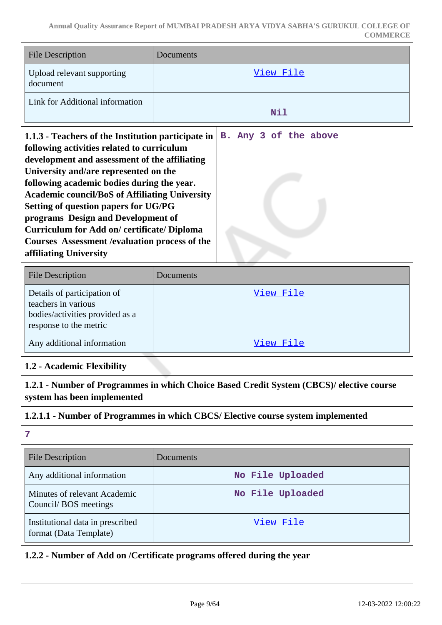| <b>File Description</b>                                                                                                                                                                                                                                                                                                                                                                                                                                                                                  | Documents             |  |
|----------------------------------------------------------------------------------------------------------------------------------------------------------------------------------------------------------------------------------------------------------------------------------------------------------------------------------------------------------------------------------------------------------------------------------------------------------------------------------------------------------|-----------------------|--|
| Upload relevant supporting<br>document                                                                                                                                                                                                                                                                                                                                                                                                                                                                   | View File             |  |
| Link for Additional information                                                                                                                                                                                                                                                                                                                                                                                                                                                                          | Nil                   |  |
| 1.1.3 - Teachers of the Institution participate in<br>following activities related to curriculum<br>development and assessment of the affiliating<br>University and/are represented on the<br>following academic bodies during the year.<br><b>Academic council/BoS of Affiliating University</b><br>Setting of question papers for UG/PG<br>programs Design and Development of<br>Curriculum for Add on/certificate/Diploma<br>Courses Assessment / evaluation process of the<br>affiliating University | B. Any 3 of the above |  |

| <b>File Description</b>                                                                                         | Documents |
|-----------------------------------------------------------------------------------------------------------------|-----------|
| Details of participation of<br>teachers in various<br>bodies/activities provided as a<br>response to the metric | View File |
| Any additional information                                                                                      | View File |

### **1.2 - Academic Flexibility**

**1.2.1 - Number of Programmes in which Choice Based Credit System (CBCS)/ elective course system has been implemented**

### **1.2.1.1 - Number of Programmes in which CBCS/ Elective course system implemented**

**<sup>7</sup>**

| <b>File Description</b>                                    | <b>Documents</b> |
|------------------------------------------------------------|------------------|
| Any additional information                                 | No File Uploaded |
| Minutes of relevant Academic<br>Council/BOS meetings       | No File Uploaded |
| Institutional data in prescribed<br>format (Data Template) | View File        |

### **1.2.2 - Number of Add on /Certificate programs offered during the year**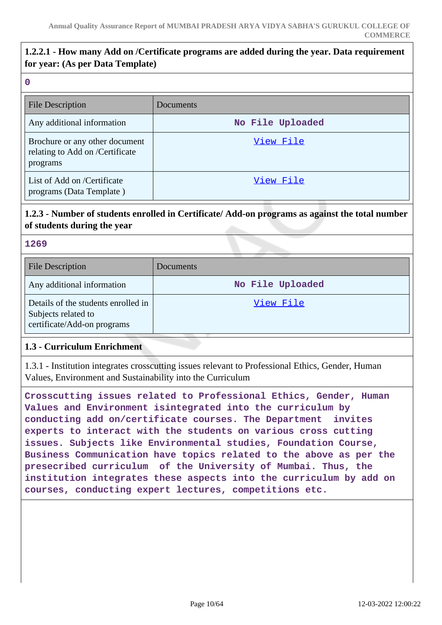# **1.2.2.1 - How many Add on /Certificate programs are added during the year. Data requirement for year: (As per Data Template)**

#### **0**

| <b>File Description</b>                                                       | Documents        |
|-------------------------------------------------------------------------------|------------------|
| Any additional information                                                    | No File Uploaded |
| Brochure or any other document<br>relating to Add on /Certificate<br>programs | View File        |
| List of Add on /Certificate<br>programs (Data Template)                       | View File        |

# **1.2.3 - Number of students enrolled in Certificate/ Add-on programs as against the total number of students during the year**

#### **1269**

| <b>File Description</b>                                                                   | Documents        |
|-------------------------------------------------------------------------------------------|------------------|
| Any additional information                                                                | No File Uploaded |
| Details of the students enrolled in<br>Subjects related to<br>certificate/Add-on programs | View File        |

### **1.3 - Curriculum Enrichment**

1.3.1 - Institution integrates crosscutting issues relevant to Professional Ethics, Gender, Human Values, Environment and Sustainability into the Curriculum

**Crosscutting issues related to Professional Ethics, Gender, Human Values and Environment isintegrated into the curriculum by conducting add on/certificate courses. The Department invites experts to interact with the students on various cross cutting issues. Subjects like Environmental studies, Foundation Course, Business Communication have topics related to the above as per the presecribed curriculum of the University of Mumbai. Thus, the institution integrates these aspects into the curriculum by add on courses, conducting expert lectures, competitions etc.**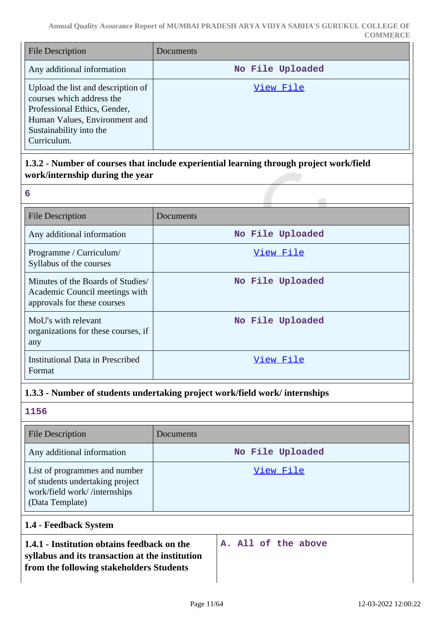| <b>File Description</b>                                                                                                                                                    | Documents        |
|----------------------------------------------------------------------------------------------------------------------------------------------------------------------------|------------------|
| Any additional information                                                                                                                                                 | No File Uploaded |
| Upload the list and description of<br>courses which address the<br>Professional Ethics, Gender,<br>Human Values, Environment and<br>Sustainability into the<br>Curriculum. | View File        |

# **1.3.2 - Number of courses that include experiential learning through project work/field work/internship during the year**

| 6                                                                                                 |                  |
|---------------------------------------------------------------------------------------------------|------------------|
| <b>File Description</b>                                                                           | Documents        |
| Any additional information                                                                        | No File Uploaded |
| Programme / Curriculum/<br>Syllabus of the courses                                                | View File        |
| Minutes of the Boards of Studies<br>Academic Council meetings with<br>approvals for these courses | No File Uploaded |
| MoU's with relevant<br>organizations for these courses, if<br>any                                 | No File Uploaded |
| Institutional Data in Prescribed<br>Format                                                        | View File        |

### **1.3.3 - Number of students undertaking project work/field work/ internships**

### **1156**

| <b>File Description</b>                                                                                             | Documents        |
|---------------------------------------------------------------------------------------------------------------------|------------------|
| Any additional information                                                                                          | No File Uploaded |
| List of programmes and number<br>of students undertaking project<br>work/field work//internships<br>(Data Template) | View File        |

# **1.4 - Feedback System**

| 1.4.1 - Institution obtains feedback on the     |  |  | A. All of the above |  |
|-------------------------------------------------|--|--|---------------------|--|
| syllabus and its transaction at the institution |  |  |                     |  |
| from the following stakeholders Students        |  |  |                     |  |

 $\overline{\phantom{a}}$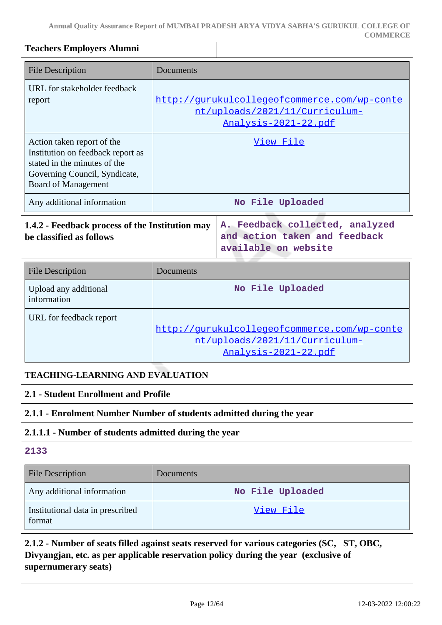**Annual Quality Assurance Report of MUMBAI PRADESH ARYA VIDYA SABHA'S GURUKUL COLLEGE OF COMMERCE**

| <b>Teachers Employers Alumni</b>                                                                                                                               |                                                                                                        |                                                                                                                                                                                   |  |  |  |
|----------------------------------------------------------------------------------------------------------------------------------------------------------------|--------------------------------------------------------------------------------------------------------|-----------------------------------------------------------------------------------------------------------------------------------------------------------------------------------|--|--|--|
| <b>File Description</b>                                                                                                                                        | Documents                                                                                              |                                                                                                                                                                                   |  |  |  |
| URL for stakeholder feedback<br>report                                                                                                                         | http://qurukulcollegeofcommerce.com/wp-conte<br>nt/uploads/2021/11/Curriculum-<br>Analysis-2021-22.pdf |                                                                                                                                                                                   |  |  |  |
| Action taken report of the<br>Institution on feedback report as<br>stated in the minutes of the<br>Governing Council, Syndicate,<br><b>Board of Management</b> | View File                                                                                              |                                                                                                                                                                                   |  |  |  |
| Any additional information                                                                                                                                     |                                                                                                        | No File Uploaded                                                                                                                                                                  |  |  |  |
| 1.4.2 - Feedback process of the Institution may<br>be classified as follows                                                                                    |                                                                                                        | A. Feedback collected, analyzed<br>and action taken and feedback<br>available on website                                                                                          |  |  |  |
| <b>File Description</b>                                                                                                                                        | Documents                                                                                              |                                                                                                                                                                                   |  |  |  |
| Upload any additional<br>information                                                                                                                           | No File Uploaded                                                                                       |                                                                                                                                                                                   |  |  |  |
| URL for feedback report                                                                                                                                        | http://qurukulcollegeofcommerce.com/wp-conte<br>nt/uploads/2021/11/Curriculum-<br>Analysis-2021-22.pdf |                                                                                                                                                                                   |  |  |  |
|                                                                                                                                                                | <b>TEACHING-LEARNING AND EVALUATION</b>                                                                |                                                                                                                                                                                   |  |  |  |
| 2.1 - Student Enrollment and Profile                                                                                                                           |                                                                                                        |                                                                                                                                                                                   |  |  |  |
| 2.1.1 - Enrolment Number Number of students admitted during the year                                                                                           |                                                                                                        |                                                                                                                                                                                   |  |  |  |
| 2.1.1.1 - Number of students admitted during the year                                                                                                          |                                                                                                        |                                                                                                                                                                                   |  |  |  |
| 2133                                                                                                                                                           |                                                                                                        |                                                                                                                                                                                   |  |  |  |
| <b>File Description</b>                                                                                                                                        | Documents                                                                                              |                                                                                                                                                                                   |  |  |  |
| Any additional information                                                                                                                                     |                                                                                                        | No File Uploaded                                                                                                                                                                  |  |  |  |
| Institutional data in prescribed<br>format                                                                                                                     | <u>View File</u>                                                                                       |                                                                                                                                                                                   |  |  |  |
|                                                                                                                                                                |                                                                                                        | 2.1.2 - Number of seats filled against seats reserved for various categories (SC, ST, OBC,<br>Divyangjan, etc. as per applicable reservation policy during the year (exclusive of |  |  |  |

**supernumerary seats)**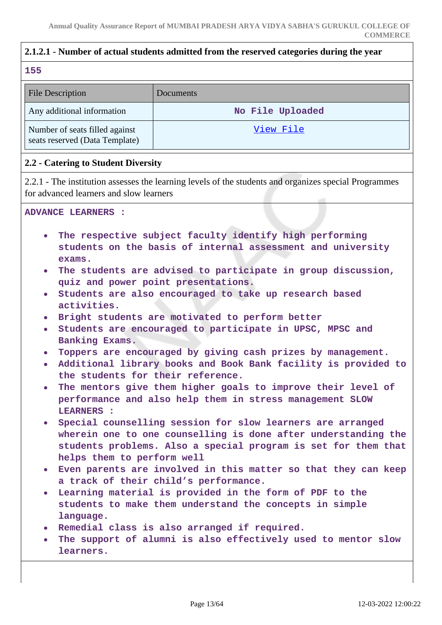### **2.1.2.1 - Number of actual students admitted from the reserved categories during the year**

#### **155**

| <b>File Description</b>                                          | Documents        |
|------------------------------------------------------------------|------------------|
| Any additional information                                       | No File Uploaded |
| Number of seats filled against<br>seats reserved (Data Template) | View File        |

### **2.2 - Catering to Student Diversity**

2.2.1 - The institution assesses the learning levels of the students and organizes special Programmes for advanced learners and slow learners

**ADVANCE LEARNERS :**

- **The respective subject faculty identify high performing students on the basis of internal assessment and university exams.**
- **The students are advised to participate in group discussion, quiz and power point presentations.**
- **Students are also encouraged to take up research based activities.**
- **Bright students are motivated to perform better**
- **Students are encouraged to participate in UPSC, MPSC and Banking Exams.**
- **Toppers are encouraged by giving cash prizes by management.**
- **Additional library books and Book Bank facility is provided to the students for their reference.**
- **The mentors give them higher goals to improve their level of performance and also help them in stress management SLOW LEARNERS :**
- **Special counselling session for slow learners are arranged wherein one to one counselling is done after understanding the students problems. Also a special program is set for them that helps them to perform well**
- **Even parents are involved in this matter so that they can keep a track of their child's performance.**
- **Learning material is provided in the form of PDF to the**  $\bullet$ **students to make them understand the concepts in simple language.**
- **Remedial class is also arranged if required.**
- **The support of alumni is also effectively used to mentor slow learners.**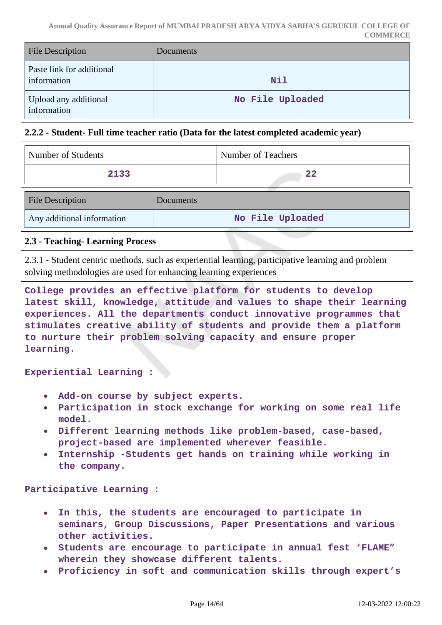| <b>File Description</b>                  | Documents        |
|------------------------------------------|------------------|
| Paste link for additional<br>information | Nil              |
| Upload any additional<br>information     | No File Uploaded |

### **2.2.2 - Student- Full time teacher ratio (Data for the latest completed academic year)**

| Number of Students         |           | Number of Teachers |
|----------------------------|-----------|--------------------|
| 2133                       |           | 22                 |
| <b>File Description</b>    | Documents |                    |
| Any additional information |           | No File Uploaded   |

### **2.3 - Teaching- Learning Process**

2.3.1 - Student centric methods, such as experiential learning, participative learning and problem solving methodologies are used for enhancing learning experiences

**College provides an effective platform for students to develop latest skill, knowledge, attitude and values to shape their learning experiences. All the departments conduct innovative programmes that stimulates creative ability of students and provide them a platform to nurture their problem solving capacity and ensure proper learning.**

**Experiential Learning :**

- **Add-on course by subject experts.**
- **Participation in stock exchange for working on some real life model.**
- **Different learning methods like problem-based, case-based, project-based are implemented wherever feasible.**
- $\bullet$ **Internship -Students get hands on training while working in the company.**

**Participative Learning :**

- **In this, the students are encouraged to participate in**  $\bullet$ **seminars, Group Discussions, Paper Presentations and various other activities.**
- **Students are encourage to participate in annual fest 'FLAME" wherein they showcase different talents.**
- **Proficiency in soft and communication skills through expert's**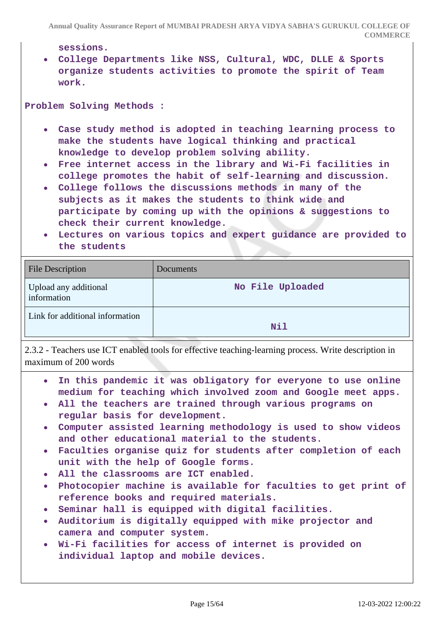**Annual Quality Assurance Report of MUMBAI PRADESH ARYA VIDYA SABHA'S GURUKUL COLLEGE OF COMMERCE**

**sessions.**

**College Departments like NSS, Cultural, WDC, DLLE & Sports organize students activities to promote the spirit of Team work.**

**Problem Solving Methods :**

- **Case study method is adopted in teaching learning process to make the students have logical thinking and practical knowledge to develop problem solving ability.**
- **Free internet access in the library and Wi-Fi facilities in college promotes the habit of self-learning and discussion.**
- **College follows the discussions methods in many of the subjects as it makes the students to think wide and participate by coming up with the opinions & suggestions to check their current knowledge.**
- **Lectures on various topics and expert guidance are provided to the students**

| <b>File Description</b>              | Documents        |
|--------------------------------------|------------------|
| Upload any additional<br>information | No File Uploaded |
| Link for additional information      | <b>Nil</b>       |

2.3.2 - Teachers use ICT enabled tools for effective teaching-learning process. Write description in maximum of 200 words

- **In this pandemic it was obligatory for everyone to use online medium for teaching which involved zoom and Google meet apps.**
- **All the teachers are trained through various programs on regular basis for development.**
- **Computer assisted learning methodology is used to show videos and other educational material to the students.**
- **Faculties organise quiz for students after completion of each unit with the help of Google forms.**
- **All the classrooms are ICT enabled.**
- **Photocopier machine is available for faculties to get print of reference books and required materials.**
- **Seminar hall is equipped with digital facilities.**
- **Auditorium is digitally equipped with mike projector and camera and computer system.**
- **Wi-Fi facilities for access of internet is provided on individual laptop and mobile devices.**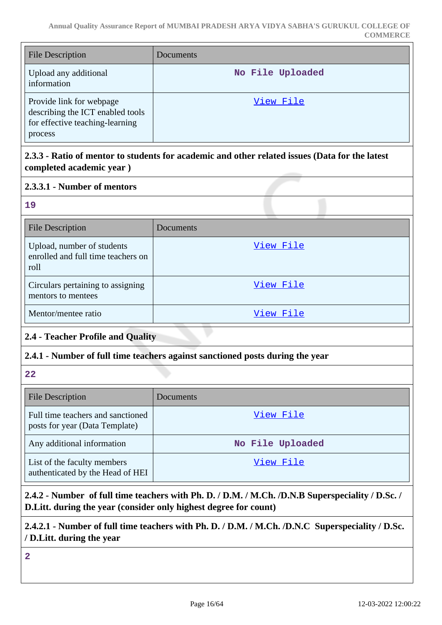| File Description                                                                                           | <b>Documents</b> |
|------------------------------------------------------------------------------------------------------------|------------------|
| Upload any additional<br>information                                                                       | No File Uploaded |
| Provide link for webpage<br>describing the ICT enabled tools<br>for effective teaching-learning<br>process | View File        |

# **2.3.3 - Ratio of mentor to students for academic and other related issues (Data for the latest completed academic year )**

# **2.3.3.1 - Number of mentors**

| $\mathbb{R}$ |          |
|--------------|----------|
|              |          |
|              |          |
|              | ۰.<br>۰. |
|              |          |

| <b>File Description</b>                                                  | Documents |
|--------------------------------------------------------------------------|-----------|
| Upload, number of students<br>enrolled and full time teachers on<br>roll | View File |
| Circulars pertaining to assigning<br>mentors to mentees                  | View File |
| Mentor/mentee ratio                                                      | View File |

# **2.4 - Teacher Profile and Quality**

### **2.4.1 - Number of full time teachers against sanctioned posts during the year**

**22**

| <b>File Description</b>                                             | <b>Documents</b> |
|---------------------------------------------------------------------|------------------|
| Full time teachers and sanctioned<br>posts for year (Data Template) | View File        |
| Any additional information                                          | No File Uploaded |
| List of the faculty members<br>authenticated by the Head of HEI     | View File        |

**2.4.2 - Number of full time teachers with Ph. D. / D.M. / M.Ch. /D.N.B Superspeciality / D.Sc. / D.Litt. during the year (consider only highest degree for count)**

**2.4.2.1 - Number of full time teachers with Ph. D. / D.M. / M.Ch. /D.N.C Superspeciality / D.Sc. / D.Litt. during the year**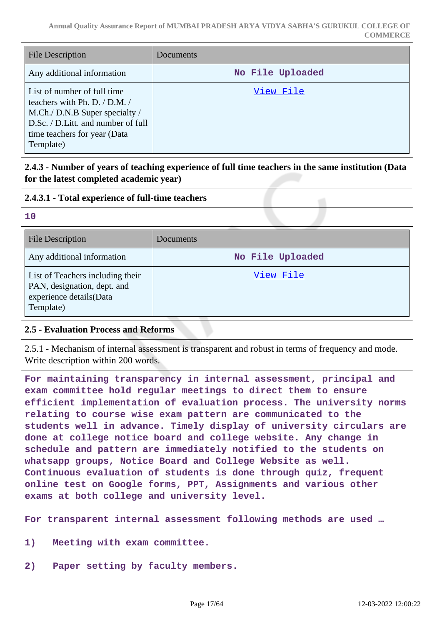| <b>File Description</b>                                                                                                                                                           | <b>Documents</b> |
|-----------------------------------------------------------------------------------------------------------------------------------------------------------------------------------|------------------|
| Any additional information                                                                                                                                                        | No File Uploaded |
| List of number of full time<br>teachers with Ph. D. / D.M. /<br>M.Ch./ D.N.B Super specialty /<br>D.Sc. / D.Litt. and number of full<br>time teachers for year (Data<br>Template) | View File        |

# **2.4.3 - Number of years of teaching experience of full time teachers in the same institution (Data for the latest completed academic year)**

### **2.4.3.1 - Total experience of full-time teachers**

| 10                                                                                                      |                  |
|---------------------------------------------------------------------------------------------------------|------------------|
| <b>File Description</b>                                                                                 | Documents        |
| Any additional information                                                                              | No File Uploaded |
| List of Teachers including their<br>PAN, designation, dept. and<br>experience details(Data<br>Template) | View File        |

### **2.5 - Evaluation Process and Reforms**

2.5.1 - Mechanism of internal assessment is transparent and robust in terms of frequency and mode. Write description within 200 words.

**For maintaining transparency in internal assessment, principal and exam committee hold regular meetings to direct them to ensure efficient implementation of evaluation process. The university norms relating to course wise exam pattern are communicated to the students well in advance. Timely display of university circulars are done at college notice board and college website. Any change in schedule and pattern are immediately notified to the students on whatsapp groups, Notice Board and College Website as well. Continuous evaluation of students is done through quiz, frequent online test on Google forms, PPT, Assignments and various other exams at both college and university level.**

**For transparent internal assessment following methods are used …**

- **1) Meeting with exam committee.**
- **2) Paper setting by faculty members.**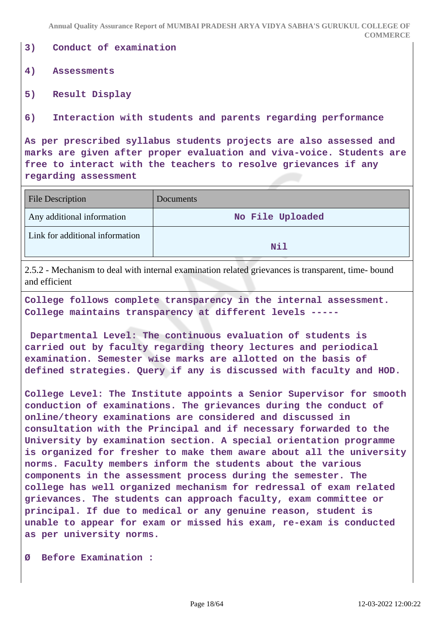**Annual Quality Assurance Report of MUMBAI PRADESH ARYA VIDYA SABHA'S GURUKUL COLLEGE OF COMMERCE**

**3) Conduct of examination**

#### **4) Assessments**

**5) Result Display**

**6) Interaction with students and parents regarding performance**

**As per prescribed syllabus students projects are also assessed and marks are given after proper evaluation and viva-voice. Students are free to interact with the teachers to resolve grievances if any regarding assessment**

| <b>File Description</b>         | Documents        |
|---------------------------------|------------------|
| Any additional information      | No File Uploaded |
| Link for additional information | Nil              |

2.5.2 - Mechanism to deal with internal examination related grievances is transparent, time- bound and efficient

**College follows complete transparency in the internal assessment. College maintains transparency at different levels -----**

 **Departmental Level: The continuous evaluation of students is carried out by faculty regarding theory lectures and periodical examination. Semester wise marks are allotted on the basis of defined strategies. Query if any is discussed with faculty and HOD.**

**College Level: The Institute appoints a Senior Supervisor for smooth conduction of examinations. The grievances during the conduct of online/theory examinations are considered and discussed in consultation with the Principal and if necessary forwarded to the University by examination section. A special orientation programme is organized for fresher to make them aware about all the university norms. Faculty members inform the students about the various components in the assessment process during the semester. The college has well organized mechanism for redressal of exam related grievances. The students can approach faculty, exam committee or principal. If due to medical or any genuine reason, student is unable to appear for exam or missed his exam, re-exam is conducted as per university norms.**

**Ø Before Examination :**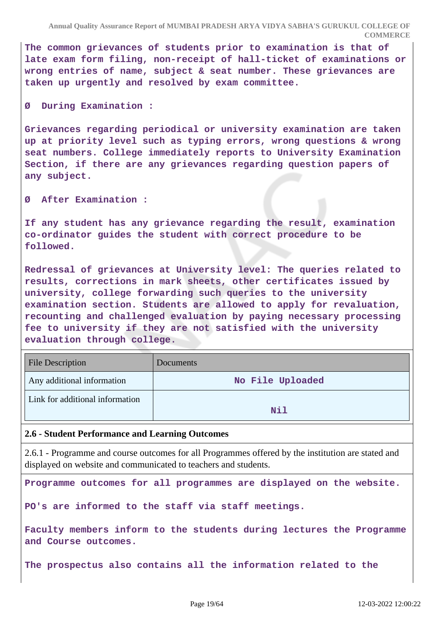**The common grievances of students prior to examination is that of late exam form filing, non-receipt of hall-ticket of examinations or wrong entries of name, subject & seat number. These grievances are taken up urgently and resolved by exam committee.**

**Ø During Examination :**

**Grievances regarding periodical or university examination are taken up at priority level such as typing errors, wrong questions & wrong seat numbers. College immediately reports to University Examination Section, if there are any grievances regarding question papers of any subject.**

**Ø After Examination :**

**If any student has any grievance regarding the result, examination co-ordinator guides the student with correct procedure to be followed.**

**Redressal of grievances at University level: The queries related to results, corrections in mark sheets, other certificates issued by university, college forwarding such queries to the university examination section. Students are allowed to apply for revaluation, recounting and challenged evaluation by paying necessary processing fee to university if they are not satisfied with the university evaluation through college.**

| <b>File Description</b>         | <b>Documents</b> |
|---------------------------------|------------------|
| Any additional information      | No File Uploaded |
| Link for additional information | Nil              |

### **2.6 - Student Performance and Learning Outcomes**

2.6.1 - Programme and course outcomes for all Programmes offered by the institution are stated and displayed on website and communicated to teachers and students.

**Programme outcomes for all programmes are displayed on the website.**

**PO's are informed to the staff via staff meetings.**

**Faculty members inform to the students during lectures the Programme and Course outcomes.** 

**The prospectus also contains all the information related to the**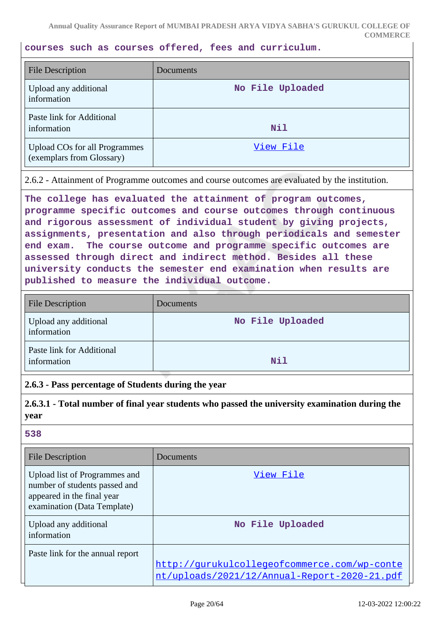**courses such as courses offered, fees and curriculum.**

| <b>File Description</b>                                           | Documents        |
|-------------------------------------------------------------------|------------------|
| Upload any additional<br>information                              | No File Uploaded |
| Paste link for Additional<br>information                          | <b>Nil</b>       |
| <b>Upload COs for all Programmes</b><br>(exemplars from Glossary) | View File        |

2.6.2 - Attainment of Programme outcomes and course outcomes are evaluated by the institution.

**The college has evaluated the attainment of program outcomes, programme specific outcomes and course outcomes through continuous and rigorous assessment of individual student by giving projects, assignments, presentation and also through periodicals and semester end exam. The course outcome and programme specific outcomes are assessed through direct and indirect method. Besides all these university conducts the semester end examination when results are published to measure the individual outcome.**

| <b>File Description</b>                  | Documents        |
|------------------------------------------|------------------|
| Upload any additional<br>information     | No File Uploaded |
| Paste link for Additional<br>information | <b>Nil</b>       |

### **2.6.3 - Pass percentage of Students during the year**

**2.6.3.1 - Total number of final year students who passed the university examination during the year**

| <b>File Description</b>                                                                                                     | Documents                                                                                    |
|-----------------------------------------------------------------------------------------------------------------------------|----------------------------------------------------------------------------------------------|
| Upload list of Programmes and<br>number of students passed and<br>appeared in the final year<br>examination (Data Template) | View File                                                                                    |
| Upload any additional<br>information                                                                                        | No File Uploaded                                                                             |
| Paste link for the annual report                                                                                            | http://qurukulcollegeofcommerce.com/wp-conte<br>nt/uploads/2021/12/Annual-Report-2020-21.pdf |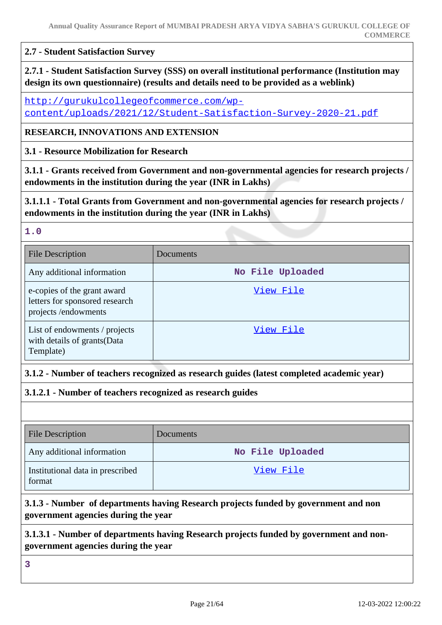#### **2.7 - Student Satisfaction Survey**

**2.7.1 - Student Satisfaction Survey (SSS) on overall institutional performance (Institution may design its own questionnaire) (results and details need to be provided as a weblink)**

[http://gurukulcollegeofcommerce.com/wp](http://gurukulcollegeofcommerce.com/wp-content/uploads/2021/12/Student-Satisfaction-Survey-2020-21.pdf)[content/uploads/2021/12/Student-Satisfaction-Survey-2020-21.pdf](http://gurukulcollegeofcommerce.com/wp-content/uploads/2021/12/Student-Satisfaction-Survey-2020-21.pdf)

#### **RESEARCH, INNOVATIONS AND EXTENSION**

**3.1 - Resource Mobilization for Research**

**3.1.1 - Grants received from Government and non-governmental agencies for research projects / endowments in the institution during the year (INR in Lakhs)**

**3.1.1.1 - Total Grants from Government and non-governmental agencies for research projects / endowments in the institution during the year (INR in Lakhs)**

#### **1.0**

| <b>File Description</b>                                                              | Documents        |
|--------------------------------------------------------------------------------------|------------------|
| Any additional information                                                           | No File Uploaded |
| e-copies of the grant award<br>letters for sponsored research<br>projects/endowments | View File        |
| List of endowments / projects<br>with details of grants (Data<br>Template)           | View File        |

### **3.1.2 - Number of teachers recognized as research guides (latest completed academic year)**

**3.1.2.1 - Number of teachers recognized as research guides**

| <b>File Description</b>                    | Documents        |
|--------------------------------------------|------------------|
| Any additional information                 | No File Uploaded |
| Institutional data in prescribed<br>format | View File        |

# **3.1.3 - Number of departments having Research projects funded by government and non government agencies during the year**

### **3.1.3.1 - Number of departments having Research projects funded by government and nongovernment agencies during the year**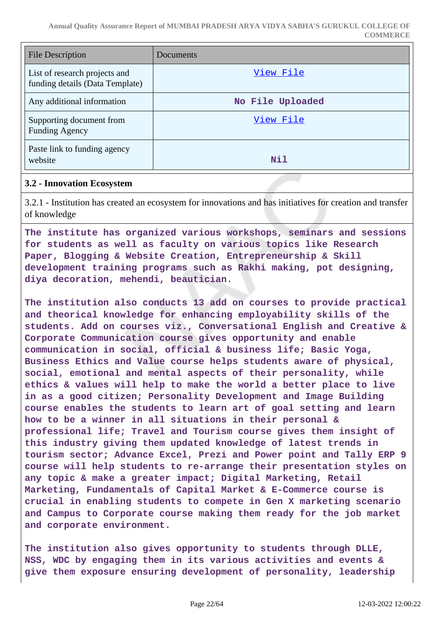**Annual Quality Assurance Report of MUMBAI PRADESH ARYA VIDYA SABHA'S GURUKUL COLLEGE OF COMMERCE**

| <b>File Description</b>                                          | Documents        |
|------------------------------------------------------------------|------------------|
| List of research projects and<br>funding details (Data Template) | View File        |
| Any additional information                                       | No File Uploaded |
| Supporting document from<br><b>Funding Agency</b>                | View File        |
| Paste link to funding agency<br>website                          | Nil              |

#### **3.2 - Innovation Ecosystem**

3.2.1 - Institution has created an ecosystem for innovations and has initiatives for creation and transfer of knowledge

**The institute has organized various workshops, seminars and sessions for students as well as faculty on various topics like Research Paper, Blogging & Website Creation, Entrepreneurship & Skill development training programs such as Rakhi making, pot designing, diya decoration, mehendi, beautician.**

**The institution also conducts 13 add on courses to provide practical and theorical knowledge for enhancing employability skills of the students. Add on courses viz., Conversational English and Creative & Corporate Communication course gives opportunity and enable communication in social, official & business life; Basic Yoga, Business Ethics and Value course helps students aware of physical, social, emotional and mental aspects of their personality, while ethics & values will help to make the world a better place to live in as a good citizen; Personality Development and Image Building course enables the students to learn art of goal setting and learn how to be a winner in all situations in their personal & professional life; Travel and Tourism course gives them insight of this industry giving them updated knowledge of latest trends in tourism sector; Advance Excel, Prezi and Power point and Tally ERP 9 course will help students to re-arrange their presentation styles on any topic & make a greater impact; Digital Marketing, Retail Marketing, Fundamentals of Capital Market & E-Commerce course is crucial in enabling students to compete in Gen X marketing scenario and Campus to Corporate course making them ready for the job market and corporate environment.**

**The institution also gives opportunity to students through DLLE, NSS, WDC by engaging them in its various activities and events & give them exposure ensuring development of personality, leadership**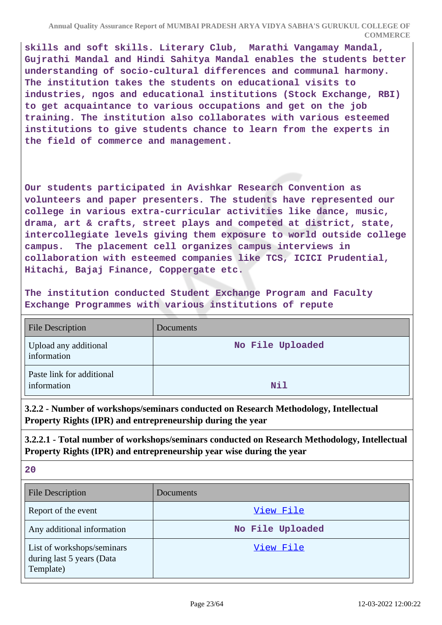**skills and soft skills. Literary Club, Marathi Vangamay Mandal, Gujrathi Mandal and Hindi Sahitya Mandal enables the students better understanding of socio-cultural differences and communal harmony. The institution takes the students on educational visits to industries, ngos and educational institutions (Stock Exchange, RBI) to get acquaintance to various occupations and get on the job training. The institution also collaborates with various esteemed institutions to give students chance to learn from the experts in the field of commerce and management.**

**Our students participated in Avishkar Research Convention as volunteers and paper presenters. The students have represented our college in various extra-curricular activities like dance, music, drama, art & crafts, street plays and competed at district, state, intercollegiate levels giving them exposure to world outside college campus. The placement cell organizes campus interviews in collaboration with esteemed companies like TCS, ICICI Prudential, Hitachi, Bajaj Finance, Coppergate etc.**

**The institution conducted Student Exchange Program and Faculty Exchange Programmes with various institutions of repute**

| <b>File Description</b>                  | Documents        |
|------------------------------------------|------------------|
| Upload any additional<br>information     | No File Uploaded |
| Paste link for additional<br>information | <b>Nil</b>       |

**3.2.2 - Number of workshops/seminars conducted on Research Methodology, Intellectual Property Rights (IPR) and entrepreneurship during the year**

**3.2.2.1 - Total number of workshops/seminars conducted on Research Methodology, Intellectual Property Rights (IPR) and entrepreneurship year wise during the year**

| <b>File Description</b>                                              | Documents        |
|----------------------------------------------------------------------|------------------|
| Report of the event                                                  | View File        |
| Any additional information                                           | No File Uploaded |
| List of workshops/seminars<br>during last 5 years (Data<br>Template) | View File        |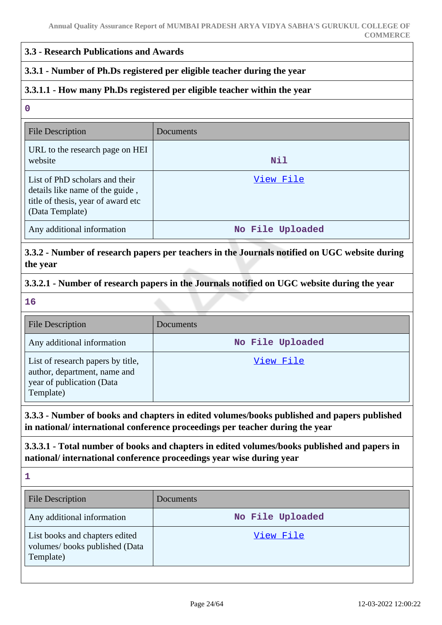#### **3.3 - Research Publications and Awards**

### **3.3.1 - Number of Ph.Ds registered per eligible teacher during the year**

### **3.3.1.1 - How many Ph.Ds registered per eligible teacher within the year**

#### **0**

| <b>File Description</b>                                                                                                    | Documents        |
|----------------------------------------------------------------------------------------------------------------------------|------------------|
| URL to the research page on HEI<br>website                                                                                 | Nil              |
| List of PhD scholars and their<br>details like name of the guide,<br>title of thesis, year of award etc<br>(Data Template) | View File        |
| Any additional information                                                                                                 | No File Uploaded |

### **3.3.2 - Number of research papers per teachers in the Journals notified on UGC website during the year**

### **3.3.2.1 - Number of research papers in the Journals notified on UGC website during the year**

**16**

| <b>File Description</b>                                                                                     | Documents        |
|-------------------------------------------------------------------------------------------------------------|------------------|
| Any additional information                                                                                  | No File Uploaded |
| List of research papers by title,<br>author, department, name and<br>year of publication (Data<br>Template) | View File        |

### **3.3.3 - Number of books and chapters in edited volumes/books published and papers published in national/ international conference proceedings per teacher during the year**

**3.3.3.1 - Total number of books and chapters in edited volumes/books published and papers in national/ international conference proceedings year wise during year**

| <b>File Description</b>                                                      | Documents        |
|------------------------------------------------------------------------------|------------------|
| Any additional information                                                   | No File Uploaded |
| List books and chapters edited<br>volumes/books published (Data<br>Template) | View File        |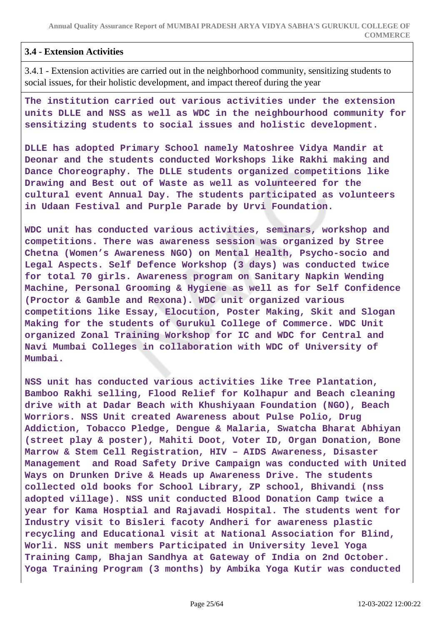### **3.4 - Extension Activities**

3.4.1 - Extension activities are carried out in the neighborhood community, sensitizing students to social issues, for their holistic development, and impact thereof during the year

**The institution carried out various activities under the extension units DLLE and NSS as well as WDC in the neighbourhood community for sensitizing students to social issues and holistic development.**

**DLLE has adopted Primary School namely Matoshree Vidya Mandir at Deonar and the students conducted Workshops like Rakhi making and Dance Choreography. The DLLE students organized competitions like Drawing and Best out of Waste as well as volunteered for the cultural event Annual Day. The students participated as volunteers in Udaan Festival and Purple Parade by Urvi Foundation.**

**WDC unit has conducted various activities, seminars, workshop and competitions. There was awareness session was organized by Stree Chetna (Women's Awareness NGO) on Mental Health, Psycho-socio and Legal Aspects. Self Defence Workshop (3 days) was conducted twice for total 70 girls. Awareness program on Sanitary Napkin Wending Machine, Personal Grooming & Hygiene as well as for Self Confidence (Proctor & Gamble and Rexona). WDC unit organized various competitions like Essay, Elocution, Poster Making, Skit and Slogan Making for the students of Gurukul College of Commerce. WDC Unit organized Zonal Training Workshop for IC and WDC for Central and Navi Mumbai Colleges in collaboration with WDC of University of Mumbai.**

**NSS unit has conducted various activities like Tree Plantation, Bamboo Rakhi selling, Flood Relief for Kolhapur and Beach cleaning drive with at Dadar Beach with Khushiyaan Foundation (NGO), Beach Worriors. NSS Unit created Awareness about Pulse Polio, Drug Addiction, Tobacco Pledge, Dengue & Malaria, Swatcha Bharat Abhiyan (street play & poster), Mahiti Doot, Voter ID, Organ Donation, Bone Marrow & Stem Cell Registration, HIV – AIDS Awareness, Disaster Management and Road Safety Drive Campaign was conducted with United Ways on Drunken Drive & Heads up Awareness Drive. The students collected old books for School Library, ZP school, Bhivandi (nss adopted village). NSS unit conducted Blood Donation Camp twice a year for Kama Hosptial and Rajavadi Hospital. The students went for Industry visit to Bisleri facoty Andheri for awareness plastic recycling and Educational visit at National Association for Blind, Worli. NSS unit members Participated in University level Yoga Training Camp, Bhajan Sandhya at Gateway of India on 2nd October. Yoga Training Program (3 months) by Ambika Yoga Kutir was conducted**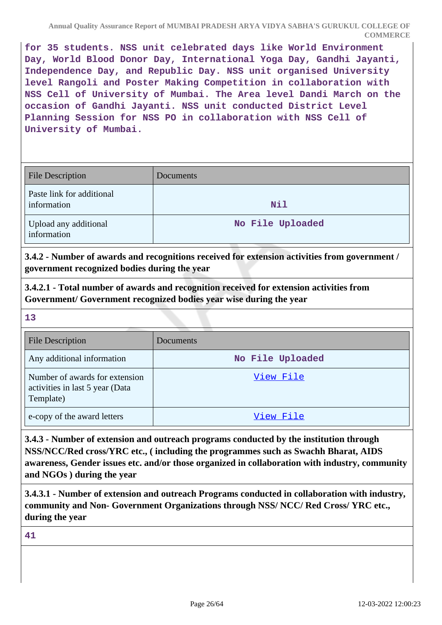**for 35 students. NSS unit celebrated days like World Environment Day, World Blood Donor Day, International Yoga Day, Gandhi Jayanti, Independence Day, and Republic Day. NSS unit organised University level Rangoli and Poster Making Competition in collaboration with NSS Cell of University of Mumbai. The Area level Dandi March on the occasion of Gandhi Jayanti. NSS unit conducted District Level Planning Session for NSS PO in collaboration with NSS Cell of University of Mumbai.**

| <b>File Description</b>                  | <b>Documents</b> |
|------------------------------------------|------------------|
| Paste link for additional<br>information | Nil              |
| Upload any additional<br>information     | No File Uploaded |

**3.4.2 - Number of awards and recognitions received for extension activities from government / government recognized bodies during the year**

**3.4.2.1 - Total number of awards and recognition received for extension activities from Government/ Government recognized bodies year wise during the year**

**13**

| <b>File Description</b>                                                        | Documents        |
|--------------------------------------------------------------------------------|------------------|
| Any additional information                                                     | No File Uploaded |
| Number of awards for extension<br>activities in last 5 year (Data<br>Template) | View File        |
| e-copy of the award letters                                                    | View File        |

**3.4.3 - Number of extension and outreach programs conducted by the institution through NSS/NCC/Red cross/YRC etc., ( including the programmes such as Swachh Bharat, AIDS awareness, Gender issues etc. and/or those organized in collaboration with industry, community and NGOs ) during the year**

**3.4.3.1 - Number of extension and outreach Programs conducted in collaboration with industry, community and Non- Government Organizations through NSS/ NCC/ Red Cross/ YRC etc., during the year**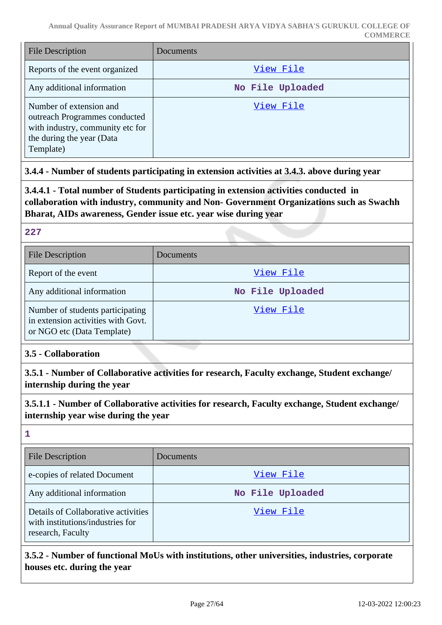| <b>File Description</b>                                                                                                                | Documents        |
|----------------------------------------------------------------------------------------------------------------------------------------|------------------|
| Reports of the event organized                                                                                                         | View File        |
| Any additional information                                                                                                             | No File Uploaded |
| Number of extension and<br>outreach Programmes conducted<br>with industry, community etc for<br>the during the year (Data<br>Template) | View File        |

# **3.4.4 - Number of students participating in extension activities at 3.4.3. above during year**

**3.4.4.1 - Total number of Students participating in extension activities conducted in collaboration with industry, community and Non- Government Organizations such as Swachh Bharat, AIDs awareness, Gender issue etc. year wise during year**

### **227**

| <b>File Description</b>                                                                              | Documents        |
|------------------------------------------------------------------------------------------------------|------------------|
| Report of the event                                                                                  | View File        |
| Any additional information                                                                           | No File Uploaded |
| Number of students participating<br>in extension activities with Govt.<br>or NGO etc (Data Template) | View File        |

### **3.5 - Collaboration**

**3.5.1 - Number of Collaborative activities for research, Faculty exchange, Student exchange/ internship during the year**

**3.5.1.1 - Number of Collaborative activities for research, Faculty exchange, Student exchange/ internship year wise during the year**

**1**

| <b>File Description</b>                                                                      | Documents        |
|----------------------------------------------------------------------------------------------|------------------|
| e-copies of related Document                                                                 | View File        |
| Any additional information                                                                   | No File Uploaded |
| Details of Collaborative activities<br>with institutions/industries for<br>research, Faculty | View File        |

**3.5.2 - Number of functional MoUs with institutions, other universities, industries, corporate houses etc. during the year**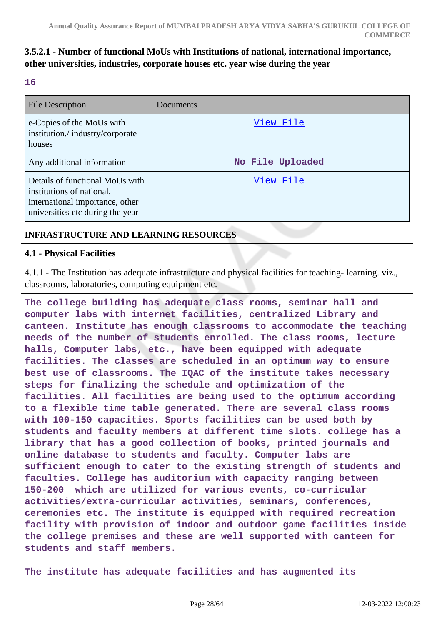# **3.5.2.1 - Number of functional MoUs with Institutions of national, international importance, other universities, industries, corporate houses etc. year wise during the year**

**16**

| <b>File Description</b>                                                                                                             | Documents        |
|-------------------------------------------------------------------------------------------------------------------------------------|------------------|
| e-Copies of the MoUs with<br>institution./industry/corporate<br>houses                                                              | View File        |
| Any additional information                                                                                                          | No File Uploaded |
| Details of functional MoUs with<br>institutions of national,<br>international importance, other<br>universities etc during the year | View File        |

### **INFRASTRUCTURE AND LEARNING RESOURCES**

#### **4.1 - Physical Facilities**

4.1.1 - The Institution has adequate infrastructure and physical facilities for teaching- learning. viz., classrooms, laboratories, computing equipment etc.

**The college building has adequate class rooms, seminar hall and computer labs with internet facilities, centralized Library and canteen. Institute has enough classrooms to accommodate the teaching needs of the number of students enrolled. The class rooms, lecture halls, Computer labs, etc., have been equipped with adequate facilities. The classes are scheduled in an optimum way to ensure best use of classrooms. The IQAC of the institute takes necessary steps for finalizing the schedule and optimization of the facilities. All facilities are being used to the optimum according to a flexible time table generated. There are several class rooms with 100-150 capacities. Sports facilities can be used both by students and faculty members at different time slots. college has a library that has a good collection of books, printed journals and online database to students and faculty. Computer labs are sufficient enough to cater to the existing strength of students and faculties. College has auditorium with capacity ranging between 150-200 which are utilized for various events, co-curricular activities/extra-curricular activities, seminars, conferences, ceremonies etc. The institute is equipped with required recreation facility with provision of indoor and outdoor game facilities inside the college premises and these are well supported with canteen for students and staff members.**

**The institute has adequate facilities and has augmented its**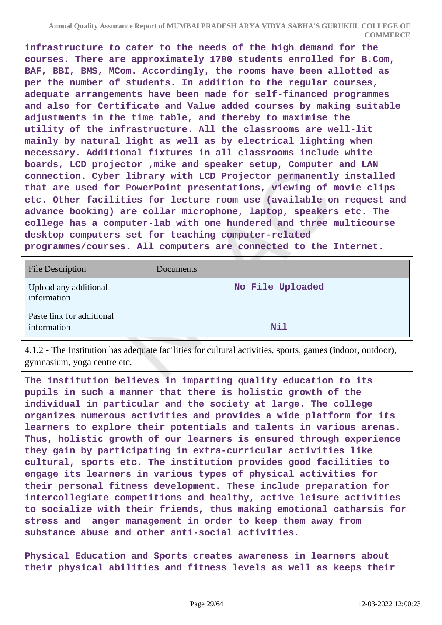**infrastructure to cater to the needs of the high demand for the courses. There are approximately 1700 students enrolled for B.Com, BAF, BBI, BMS, MCom. Accordingly, the rooms have been allotted as per the number of students. In addition to the regular courses, adequate arrangements have been made for self-financed programmes and also for Certificate and Value added courses by making suitable adjustments in the time table, and thereby to maximise the utility of the infrastructure. All the classrooms are well-lit mainly by natural light as well as by electrical lighting when necessary. Additional fixtures in all classrooms include white boards, LCD projector ,mike and speaker setup, Computer and LAN connection. Cyber library with LCD Projector permanently installed that are used for PowerPoint presentations, viewing of movie clips etc. Other facilities for lecture room use (available on request and advance booking) are collar microphone, laptop, speakers etc. The college has a computer-lab with one hundered and three multicourse desktop computers set for teaching computer-related programmes/courses. All computers are connected to the Internet.**

| <b>File Description</b>                  | Documents        |
|------------------------------------------|------------------|
| Upload any additional<br>information     | No File Uploaded |
| Paste link for additional<br>information | Nil              |

4.1.2 - The Institution has adequate facilities for cultural activities, sports, games (indoor, outdoor), gymnasium, yoga centre etc.

**The institution believes in imparting quality education to its pupils in such a manner that there is holistic growth of the individual in particular and the society at large. The college organizes numerous activities and provides a wide platform for its learners to explore their potentials and talents in various arenas. Thus, holistic growth of our learners is ensured through experience they gain by participating in extra-curricular activities like cultural, sports etc. The institution provides good facilities to engage its learners in various types of physical activities for their personal fitness development. These include preparation for intercollegiate competitions and healthy, active leisure activities to socialize with their friends, thus making emotional catharsis for stress and anger management in order to keep them away from substance abuse and other anti-social activities.**

**Physical Education and Sports creates awareness in learners about their physical abilities and fitness levels as well as keeps their**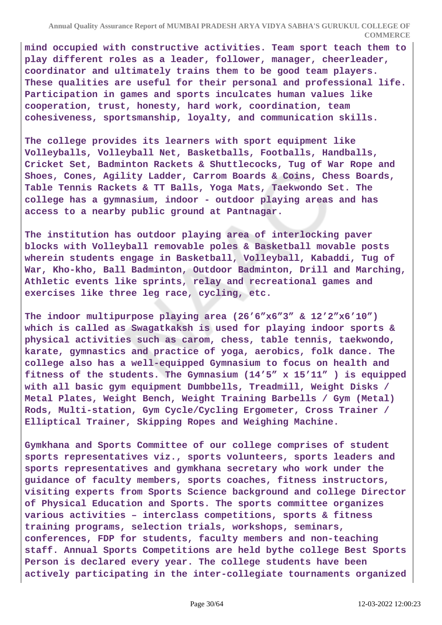**mind occupied with constructive activities. Team sport teach them to play different roles as a leader, follower, manager, cheerleader, coordinator and ultimately trains them to be good team players. These qualities are useful for their personal and professional life. Participation in games and sports inculcates human values like cooperation, trust, honesty, hard work, coordination, team cohesiveness, sportsmanship, loyalty, and communication skills.**

**The college provides its learners with sport equipment like Volleyballs, Volleyball Net, Basketballs, Footballs, Handballs, Cricket Set, Badminton Rackets & Shuttlecocks, Tug of War Rope and Shoes, Cones, Agility Ladder, Carrom Boards & Coins, Chess Boards, Table Tennis Rackets & TT Balls, Yoga Mats, Taekwondo Set. The college has a gymnasium, indoor - outdoor playing areas and has access to a nearby public ground at Pantnagar.**

**The institution has outdoor playing area of interlocking paver blocks with Volleyball removable poles & Basketball movable posts wherein students engage in Basketball, Volleyball, Kabaddi, Tug of War, Kho-kho, Ball Badminton, Outdoor Badminton, Drill and Marching, Athletic events like sprints, relay and recreational games and exercises like three leg race, cycling, etc.**

**The indoor multipurpose playing area (26'6"x6"3" & 12'2"x6'10") which is called as Swagatkaksh is used for playing indoor sports & physical activities such as carom, chess, table tennis, taekwondo, karate, gymnastics and practice of yoga, aerobics, folk dance. The college also has a well-equipped Gymnasium to focus on health and fitness of the students. The Gymnasium (14'5" x 15'11" ) is equipped with all basic gym equipment Dumbbells, Treadmill, Weight Disks / Metal Plates, Weight Bench, Weight Training Barbells / Gym (Metal) Rods, Multi-station, Gym Cycle/Cycling Ergometer, Cross Trainer / Elliptical Trainer, Skipping Ropes and Weighing Machine.**

**Gymkhana and Sports Committee of our college comprises of student sports representatives viz., sports volunteers, sports leaders and sports representatives and gymkhana secretary who work under the guidance of faculty members, sports coaches, fitness instructors, visiting experts from Sports Science background and college Director of Physical Education and Sports. The sports committee organizes various activities – interclass competitions, sports & fitness training programs, selection trials, workshops, seminars, conferences, FDP for students, faculty members and non-teaching staff. Annual Sports Competitions are held bythe college Best Sports Person is declared every year. The college students have been actively participating in the inter-collegiate tournaments organized**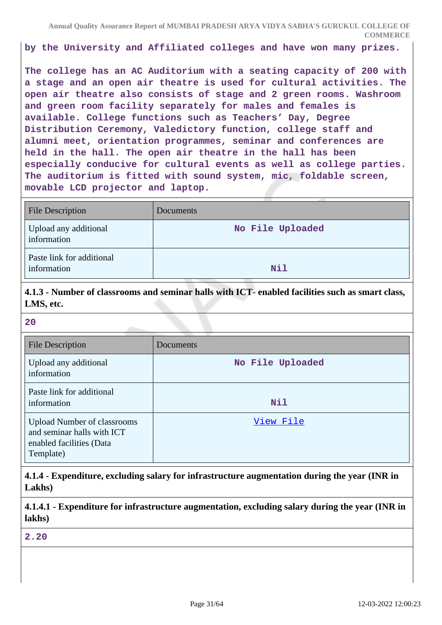**by the University and Affiliated colleges and have won many prizes.**

**The college has an AC Auditorium with a seating capacity of 200 with a stage and an open air theatre is used for cultural activities. The open air theatre also consists of stage and 2 green rooms. Washroom and green room facility separately for males and females is available. College functions such as Teachers' Day, Degree Distribution Ceremony, Valedictory function, college staff and alumni meet, orientation programmes, seminar and conferences are held in the hall. The open air theatre in the hall has been especially conducive for cultural events as well as college parties. The auditorium is fitted with sound system, mic, foldable screen, movable LCD projector and laptop.**

| <b>File Description</b>                  | Documents        |
|------------------------------------------|------------------|
| Upload any additional<br>information     | No File Uploaded |
| Paste link for additional<br>information | Nil              |

**4.1.3 - Number of classrooms and seminar halls with ICT- enabled facilities such as smart class, LMS, etc.**

| <b>File Description</b>                                                                                   | Documents        |
|-----------------------------------------------------------------------------------------------------------|------------------|
| Upload any additional<br>information                                                                      | No File Uploaded |
| Paste link for additional<br>information                                                                  | Nil              |
| <b>Upload Number of classrooms</b><br>and seminar halls with ICT<br>enabled facilities (Data<br>Template) | View File        |

**4.1.4 - Expenditure, excluding salary for infrastructure augmentation during the year (INR in Lakhs)**

**4.1.4.1 - Expenditure for infrastructure augmentation, excluding salary during the year (INR in lakhs)**

**2.20**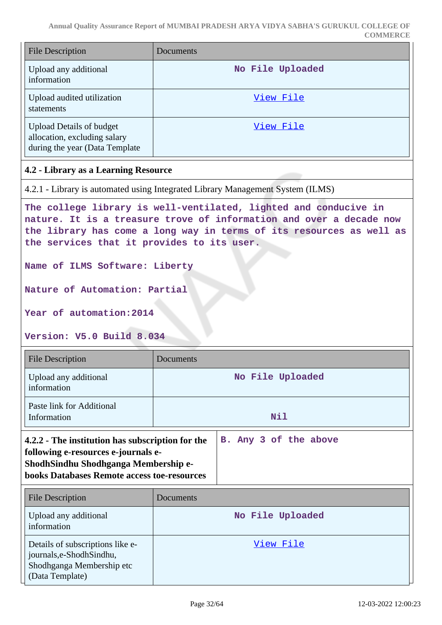| <b>File Description</b>                                                                            | Documents        |
|----------------------------------------------------------------------------------------------------|------------------|
| Upload any additional<br>information                                                               | No File Uploaded |
| Upload audited utilization<br>statements                                                           | View File        |
| <b>Upload Details of budget</b><br>allocation, excluding salary<br>during the year (Data Template) | View File        |

### **4.2 - Library as a Learning Resource**

4.2.1 - Library is automated using Integrated Library Management System (ILMS)

**The college library is well-ventilated, lighted and conducive in nature. It is a treasure trove of information and over a decade now the library has come a long way in terms of its resources as well as the services that it provides to its user.**

**Name of ILMS Software: Liberty**

**Nature of Automation: Partial**

**Year of automation:2014**

#### **Version: V5.0 Build 8.034**

| <b>File Description</b>                                                                                                                                                               | Documents             |
|---------------------------------------------------------------------------------------------------------------------------------------------------------------------------------------|-----------------------|
| Upload any additional<br>information                                                                                                                                                  | No File Uploaded      |
| Paste link for Additional<br>Information                                                                                                                                              | Nil                   |
| 4.2.2 - The institution has subscription for the<br>following e-resources e-journals e-<br>ShodhSindhu Shodhganga Membership e-<br><b>books Databases Remote access toe-resources</b> | B. Any 3 of the above |

| <b>File Description</b>                                                                                     | Documents        |
|-------------------------------------------------------------------------------------------------------------|------------------|
| Upload any additional<br>information                                                                        | No File Uploaded |
| Details of subscriptions like e-<br>journals,e-ShodhSindhu,<br>Shodhganga Membership etc<br>(Data Template) | View File        |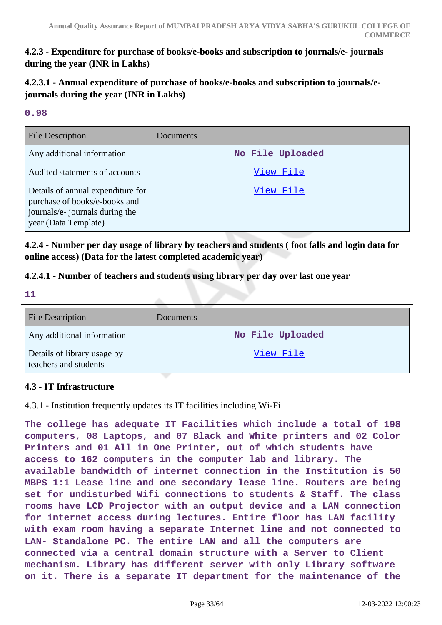# **4.2.3 - Expenditure for purchase of books/e-books and subscription to journals/e- journals during the year (INR in Lakhs)**

**4.2.3.1 - Annual expenditure of purchase of books/e-books and subscription to journals/ejournals during the year (INR in Lakhs)**

### **0.98**

| <b>File Description</b>                                                                                                       | Documents        |
|-------------------------------------------------------------------------------------------------------------------------------|------------------|
| Any additional information                                                                                                    | No File Uploaded |
| Audited statements of accounts                                                                                                | View File        |
| Details of annual expenditure for<br>purchase of books/e-books and<br>journals/e- journals during the<br>year (Data Template) | View File        |

### **4.2.4 - Number per day usage of library by teachers and students ( foot falls and login data for online access) (Data for the latest completed academic year)**

### **4.2.4.1 - Number of teachers and students using library per day over last one year**

**11**

| <b>File Description</b>                              | Documents        |
|------------------------------------------------------|------------------|
| Any additional information                           | No File Uploaded |
| Details of library usage by<br>teachers and students | View File        |

### **4.3 - IT Infrastructure**

4.3.1 - Institution frequently updates its IT facilities including Wi-Fi

**The college has adequate IT Facilities which include a total of 198 computers, 08 Laptops, and 07 Black and White printers and 02 Color Printers and 01 All in One Printer, out of which students have access to 162 computers in the computer lab and library. The available bandwidth of internet connection in the Institution is 50 MBPS 1:1 Lease line and one secondary lease line. Routers are being set for undisturbed Wifi connections to students & Staff. The class rooms have LCD Projector with an output device and a LAN connection for internet access during lectures. Entire floor has LAN facility with exam room having a separate Internet line and not connected to LAN- Standalone PC. The entire LAN and all the computers are connected via a central domain structure with a Server to Client mechanism. Library has different server with only Library software on it. There is a separate IT department for the maintenance of the**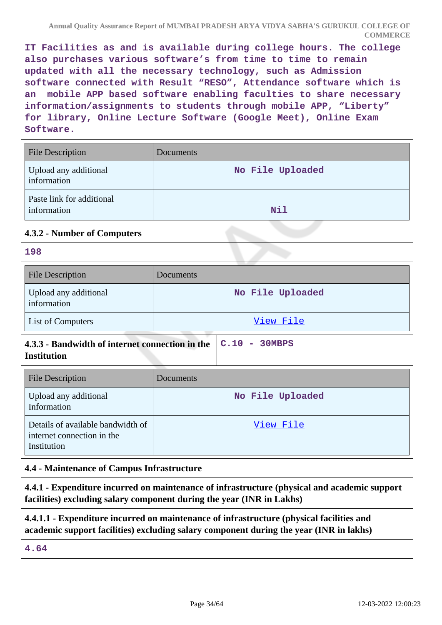**IT Facilities as and is available during college hours. The college also purchases various software's from time to time to remain updated with all the necessary technology, such as Admission software connected with Result "RESO", Attendance software which is an mobile APP based software enabling faculties to share necessary information/assignments to students through mobile APP, "Liberty" for library, Online Lecture Software (Google Meet), Online Exam Software.**

| <b>File Description</b>                  | Documents        |
|------------------------------------------|------------------|
| Upload any additional<br>information     | No File Uploaded |
| Paste link for additional<br>information | Nil              |

### **4.3.2 - Number of Computers**

**198**

| <b>File Description</b>              | Documents        |
|--------------------------------------|------------------|
| Upload any additional<br>information | No File Uploaded |
| List of Computers                    | View File        |

| 4.3.3 - Bandwidth of internet connection in the $\ $ C.10 - 30MBPS |  |  |
|--------------------------------------------------------------------|--|--|
| <b>Institution</b>                                                 |  |  |

| <b>File Description</b>                                                        | <b>Documents</b> |
|--------------------------------------------------------------------------------|------------------|
| Upload any additional<br>Information                                           | No File Uploaded |
| Details of available bandwidth of<br>internet connection in the<br>Institution | View File        |

### **4.4 - Maintenance of Campus Infrastructure**

**4.4.1 - Expenditure incurred on maintenance of infrastructure (physical and academic support facilities) excluding salary component during the year (INR in Lakhs)**

# **4.4.1.1 - Expenditure incurred on maintenance of infrastructure (physical facilities and academic support facilities) excluding salary component during the year (INR in lakhs)**

**4.64**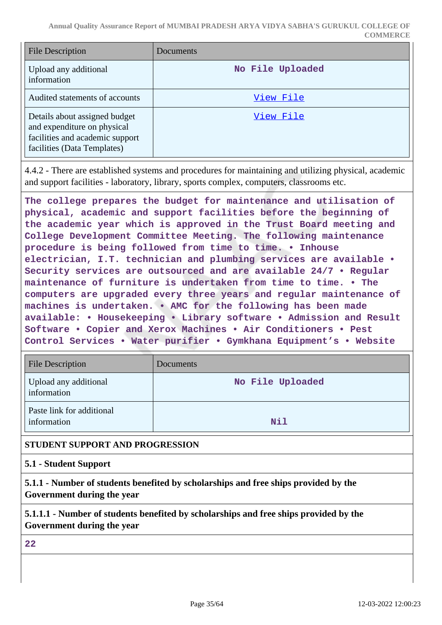**Annual Quality Assurance Report of MUMBAI PRADESH ARYA VIDYA SABHA'S GURUKUL COLLEGE OF COMMERCE**

| <b>File Description</b>                                                                                                        | Documents        |
|--------------------------------------------------------------------------------------------------------------------------------|------------------|
| Upload any additional<br>information                                                                                           | No File Uploaded |
| Audited statements of accounts                                                                                                 | View File        |
| Details about assigned budget<br>and expenditure on physical<br>facilities and academic support<br>facilities (Data Templates) | View File        |

4.4.2 - There are established systems and procedures for maintaining and utilizing physical, academic and support facilities - laboratory, library, sports complex, computers, classrooms etc.

**The college prepares the budget for maintenance and utilisation of physical, academic and support facilities before the beginning of the academic year which is approved in the Trust Board meeting and College Development Committee Meeting. The following maintenance procedure is being followed from time to time. • Inhouse electrician, I.T. technician and plumbing services are available • Security services are outsourced and are available 24/7 • Regular maintenance of furniture is undertaken from time to time. • The computers are upgraded every three years and regular maintenance of machines is undertaken. • AMC for the following has been made available: • Housekeeping • Library software • Admission and Result Software • Copier and Xerox Machines • Air Conditioners • Pest Control Services • Water purifier • Gymkhana Equipment's • Website**

| <b>File Description</b>                  | <b>Documents</b> |
|------------------------------------------|------------------|
| Upload any additional<br>information     | No File Uploaded |
| Paste link for additional<br>information | Nil              |

### **STUDENT SUPPORT AND PROGRESSION**

**5.1 - Student Support**

**5.1.1 - Number of students benefited by scholarships and free ships provided by the Government during the year**

**5.1.1.1 - Number of students benefited by scholarships and free ships provided by the Government during the year**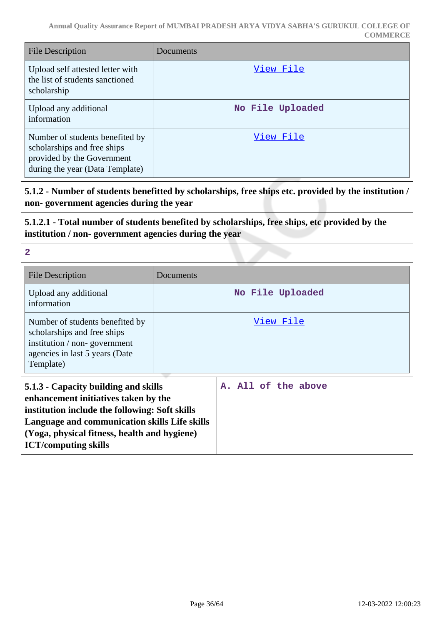| <b>File Description</b>                                                                                                         | Documents        |
|---------------------------------------------------------------------------------------------------------------------------------|------------------|
| Upload self attested letter with<br>the list of students sanctioned<br>scholarship                                              | View File        |
| Upload any additional<br>information                                                                                            | No File Uploaded |
| Number of students benefited by<br>scholarships and free ships<br>provided by the Government<br>during the year (Data Template) | View File        |

**5.1.2 - Number of students benefitted by scholarships, free ships etc. provided by the institution / non- government agencies during the year**

**5.1.2.1 - Total number of students benefited by scholarships, free ships, etc provided by the institution / non- government agencies during the year**

| <b>File Description</b>                                                                                                                                                                                                                                        | Documents           |
|----------------------------------------------------------------------------------------------------------------------------------------------------------------------------------------------------------------------------------------------------------------|---------------------|
| Upload any additional<br>information                                                                                                                                                                                                                           | No File Uploaded    |
| Number of students benefited by<br>scholarships and free ships<br>institution / non-government<br>agencies in last 5 years (Date<br>Template)                                                                                                                  | View File           |
| 5.1.3 - Capacity building and skills<br>enhancement initiatives taken by the<br>institution include the following: Soft skills<br>Language and communication skills Life skills<br>(Yoga, physical fitness, health and hygiene)<br><b>ICT/computing skills</b> | A. All of the above |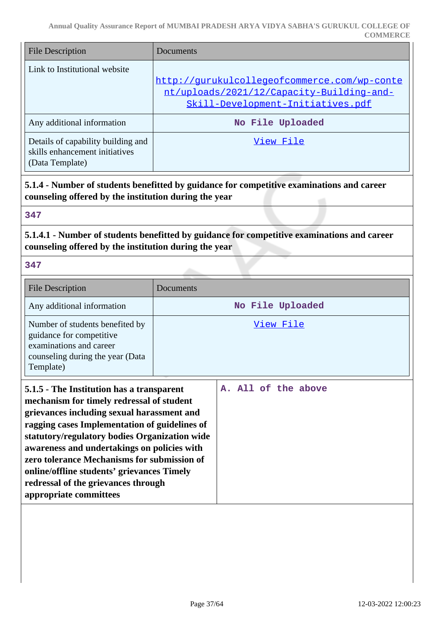| <b>File Description</b>                                                                 | Documents                                                                                                                      |
|-----------------------------------------------------------------------------------------|--------------------------------------------------------------------------------------------------------------------------------|
| Link to Institutional website                                                           | http://qurukulcollegeofcommerce.com/wp-conte<br>nt/uploads/2021/12/Capacity-Building-and-<br>Skill-Development-Initiatives.pdf |
| Any additional information                                                              | No File Uploaded                                                                                                               |
| Details of capability building and<br>skills enhancement initiatives<br>(Data Template) | View File                                                                                                                      |

**5.1.4 - Number of students benefitted by guidance for competitive examinations and career counseling offered by the institution during the year**

#### **347**

**5.1.4.1 - Number of students benefitted by guidance for competitive examinations and career counseling offered by the institution during the year**

| <b>File Description</b>                                                                                                                                                                                                                                                                                                                                                                                                                             | Documents           |
|-----------------------------------------------------------------------------------------------------------------------------------------------------------------------------------------------------------------------------------------------------------------------------------------------------------------------------------------------------------------------------------------------------------------------------------------------------|---------------------|
| Any additional information                                                                                                                                                                                                                                                                                                                                                                                                                          | No File Uploaded    |
| Number of students benefited by<br>guidance for competitive<br>examinations and career<br>counseling during the year (Data<br>Template)                                                                                                                                                                                                                                                                                                             | View File           |
| 5.1.5 - The Institution has a transparent<br>mechanism for timely redressal of student<br>grievances including sexual harassment and<br>ragging cases Implementation of guidelines of<br>statutory/regulatory bodies Organization wide<br>awareness and undertakings on policies with<br>zero tolerance Mechanisms for submission of<br>online/offline students' grievances Timely<br>redressal of the grievances through<br>appropriate committees | A. All of the above |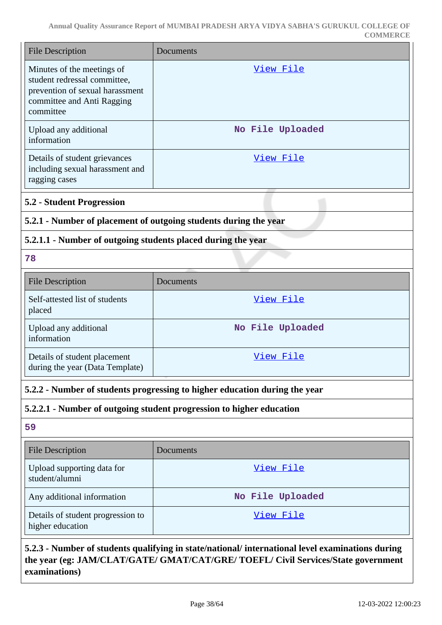| <b>File Description</b>                                                                                                                  | Documents                                                                                        |
|------------------------------------------------------------------------------------------------------------------------------------------|--------------------------------------------------------------------------------------------------|
| Minutes of the meetings of<br>student redressal committee,<br>prevention of sexual harassment<br>committee and Anti Ragging<br>committee | <u>View File</u>                                                                                 |
| Upload any additional<br>information                                                                                                     | No File Uploaded                                                                                 |
| Details of student grievances<br>including sexual harassment and<br>ragging cases                                                        | View File                                                                                        |
| <b>5.2 - Student Progression</b>                                                                                                         |                                                                                                  |
| 5.2.1 - Number of placement of outgoing students during the year                                                                         |                                                                                                  |
| 5.2.1.1 - Number of outgoing students placed during the year                                                                             |                                                                                                  |
| 78                                                                                                                                       |                                                                                                  |
| <b>File Description</b>                                                                                                                  | Documents                                                                                        |
| Self-attested list of students<br>placed                                                                                                 | View File                                                                                        |
| Upload any additional<br>information                                                                                                     | No File Uploaded                                                                                 |
| Details of student placement<br>during the year (Data Template)                                                                          | View File                                                                                        |
| 5.2.2 - Number of students progressing to higher education during the year                                                               |                                                                                                  |
|                                                                                                                                          | 5.2.2.1 - Number of outgoing student progression to higher education                             |
| 59                                                                                                                                       |                                                                                                  |
| <b>File Description</b>                                                                                                                  | Documents                                                                                        |
| Upload supporting data for<br>student/alumni                                                                                             | <u>View File</u>                                                                                 |
| Any additional information                                                                                                               | No File Uploaded                                                                                 |
| Details of student progression to<br>higher education                                                                                    | <u>View File</u>                                                                                 |
|                                                                                                                                          | 5.2.3 - Number of students qualifying in state/national/ international level examinations during |

**the year (eg: JAM/CLAT/GATE/ GMAT/CAT/GRE/ TOEFL/ Civil Services/State government examinations)**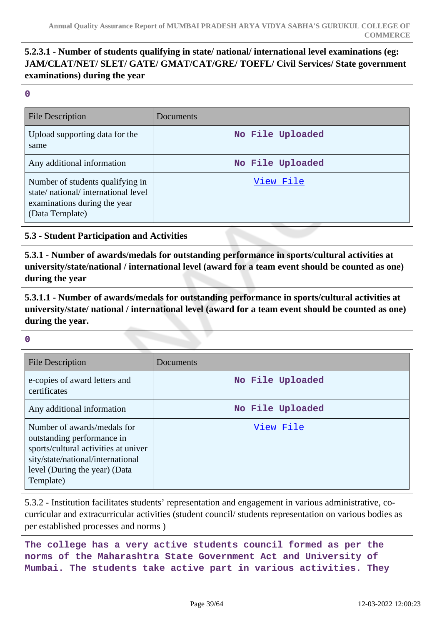# **5.2.3.1 - Number of students qualifying in state/ national/ international level examinations (eg: JAM/CLAT/NET/ SLET/ GATE/ GMAT/CAT/GRE/ TOEFL/ Civil Services/ State government examinations) during the year**

**0**

| File Description                                                                                                          | Documents        |
|---------------------------------------------------------------------------------------------------------------------------|------------------|
| Upload supporting data for the<br>same                                                                                    | No File Uploaded |
| Any additional information                                                                                                | No File Uploaded |
| Number of students qualifying in<br>state/national/international level<br>examinations during the year<br>(Data Template) | View File        |

### **5.3 - Student Participation and Activities**

**5.3.1 - Number of awards/medals for outstanding performance in sports/cultural activities at university/state/national / international level (award for a team event should be counted as one) during the year**

**5.3.1.1 - Number of awards/medals for outstanding performance in sports/cultural activities at university/state/ national / international level (award for a team event should be counted as one) during the year.**

#### **0**

| <b>File Description</b>                                                                                                                                                              | Documents        |
|--------------------------------------------------------------------------------------------------------------------------------------------------------------------------------------|------------------|
| e-copies of award letters and<br>certificates                                                                                                                                        | No File Uploaded |
| Any additional information                                                                                                                                                           | No File Uploaded |
| Number of awards/medals for<br>outstanding performance in<br>sports/cultural activities at univer<br>sity/state/national/international<br>level (During the year) (Data<br>Template) | View File        |

5.3.2 - Institution facilitates students' representation and engagement in various administrative, cocurricular and extracurricular activities (student council/ students representation on various bodies as per established processes and norms )

**The college has a very active students council formed as per the norms of the Maharashtra State Government Act and University of Mumbai. The students take active part in various activities. They**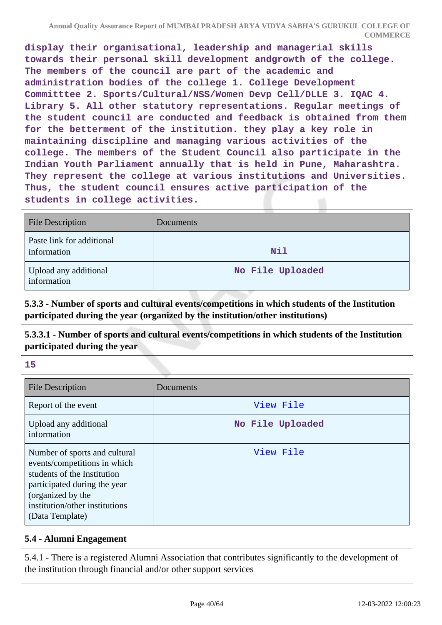**display their organisational, leadership and managerial skills towards their personal skill development andgrowth of the college. The members of the council are part of the academic and administration bodies of the college 1. College Development Committtee 2. Sports/Cultural/NSS/Women Devp Cell/DLLE 3. IQAC 4. Library 5. All other statutory representations. Regular meetings of the student council are conducted and feedback is obtained from them for the betterment of the institution. they play a key role in maintaining discipline and managing various activities of the college. The members of the Student Council also participate in the Indian Youth Parliament annually that is held in Pune, Maharashtra. They represent the college at various institutions and Universities. Thus, the student council ensures active participation of the students in college activities.**

| File Description                         | Documents        |
|------------------------------------------|------------------|
| Paste link for additional<br>information | Nil              |
| Upload any additional<br>information     | No File Uploaded |

**5.3.3 - Number of sports and cultural events/competitions in which students of the Institution participated during the year (organized by the institution/other institutions)**

**5.3.3.1 - Number of sports and cultural events/competitions in which students of the Institution participated during the year**

**15**

| <b>File Description</b>                                                                                                                                                                                | Documents        |
|--------------------------------------------------------------------------------------------------------------------------------------------------------------------------------------------------------|------------------|
| Report of the event                                                                                                                                                                                    | View File        |
| Upload any additional<br>information                                                                                                                                                                   | No File Uploaded |
| Number of sports and cultural<br>events/competitions in which<br>students of the Institution<br>participated during the year<br>(organized by the<br>institution/other institutions<br>(Data Template) | View File        |

### **5.4 - Alumni Engagement**

5.4.1 - There is a registered Alumni Association that contributes significantly to the development of the institution through financial and/or other support services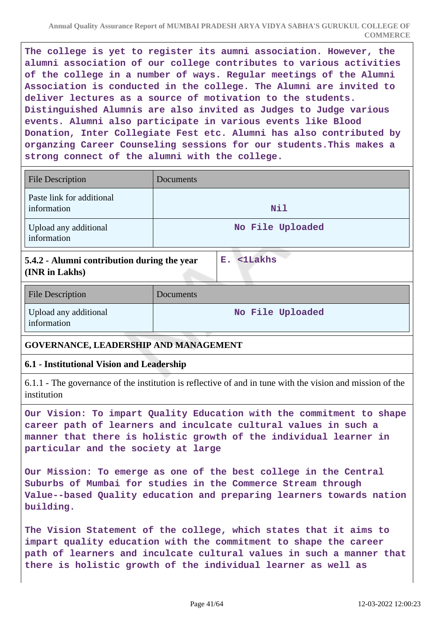**The college is yet to register its aumni association. However, the alumni association of our college contributes to various activities of the college in a number of ways. Regular meetings of the Alumni Association is conducted in the college. The Alumni are invited to deliver lectures as a source of motivation to the students. Distinguished Alumnis are also invited as Judges to Judge various events. Alumni also participate in various events like Blood Donation, Inter Collegiate Fest etc. Alumni has also contributed by organzing Career Counseling sessions for our students.This makes a strong connect of the alumni with the college.**

| <b>File Description</b>                  | Documents        |
|------------------------------------------|------------------|
| Paste link for additional<br>information | Nil              |
| Upload any additional<br>information     | No File Uploaded |

**5.4.2 - Alumni contribution during the year (INR in Lakhs)**

**E. <1Lakhs**

| <b>File Description</b>              | Documents        |
|--------------------------------------|------------------|
| Upload any additional<br>information | No File Uploaded |

### **GOVERNANCE, LEADERSHIP AND MANAGEMENT**

### **6.1 - Institutional Vision and Leadership**

6.1.1 - The governance of the institution is reflective of and in tune with the vision and mission of the institution

**Our Vision: To impart Quality Education with the commitment to shape career path of learners and inculcate cultural values in such a manner that there is holistic growth of the individual learner in particular and the society at large**

**Our Mission: To emerge as one of the best college in the Central Suburbs of Mumbai for studies in the Commerce Stream through Value--based Quality education and preparing learners towards nation building.**

**The Vision Statement of the college, which states that it aims to impart quality education with the commitment to shape the career path of learners and inculcate cultural values in such a manner that there is holistic growth of the individual learner as well as**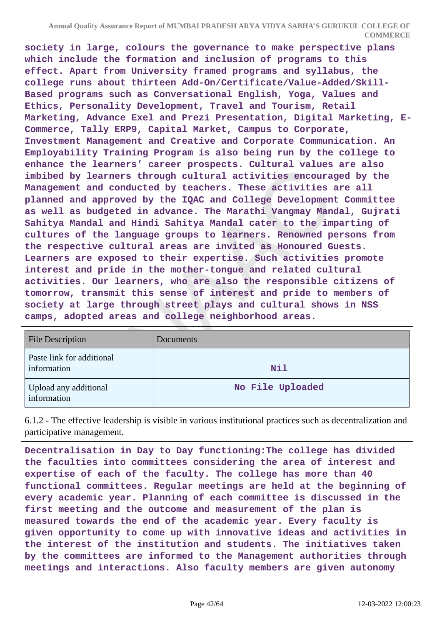**Annual Quality Assurance Report of MUMBAI PRADESH ARYA VIDYA SABHA'S GURUKUL COLLEGE OF COMMERCE**

**society in large, colours the governance to make perspective plans which include the formation and inclusion of programs to this effect. Apart from University framed programs and syllabus, the college runs about thirteen Add-On/Certificate/Value-Added/Skill-Based programs such as Conversational English, Yoga, Values and Ethics, Personality Development, Travel and Tourism, Retail Marketing, Advance Exel and Prezi Presentation, Digital Marketing, E-Commerce, Tally ERP9, Capital Market, Campus to Corporate, Investment Management and Creative and Corporate Communication. An Employability Training Program is also being run by the college to enhance the learners' career prospects. Cultural values are also imbibed by learners through cultural activities encouraged by the Management and conducted by teachers. These activities are all planned and approved by the IQAC and College Development Committee as well as budgeted in advance. The Marathi Vangmay Mandal, Gujrati Sahitya Mandal and Hindi Sahitya Mandal cater to the imparting of cultures of the language groups to learners. Renowned persons from the respective cultural areas are invited as Honoured Guests. Learners are exposed to their expertise. Such activities promote interest and pride in the mother-tongue and related cultural activities. Our learners, who are also the responsible citizens of tomorrow, transmit this sense of interest and pride to members of society at large through street plays and cultural shows in NSS camps, adopted areas and college neighborhood areas.**

| <b>File Description</b>                  | Documents        |
|------------------------------------------|------------------|
| Paste link for additional<br>information | Nil              |
| Upload any additional<br>information     | No File Uploaded |

6.1.2 - The effective leadership is visible in various institutional practices such as decentralization and participative management.

**Decentralisation in Day to Day functioning:The college has divided the faculties into committees considering the area of interest and expertise of each of the faculty. The college has more than 40 functional committees. Regular meetings are held at the beginning of every academic year. Planning of each committee is discussed in the first meeting and the outcome and measurement of the plan is measured towards the end of the academic year. Every faculty is given opportunity to come up with innovative ideas and activities in the interest of the institution and students. The initiatives taken by the committees are informed to the Management authorities through meetings and interactions. Also faculty members are given autonomy**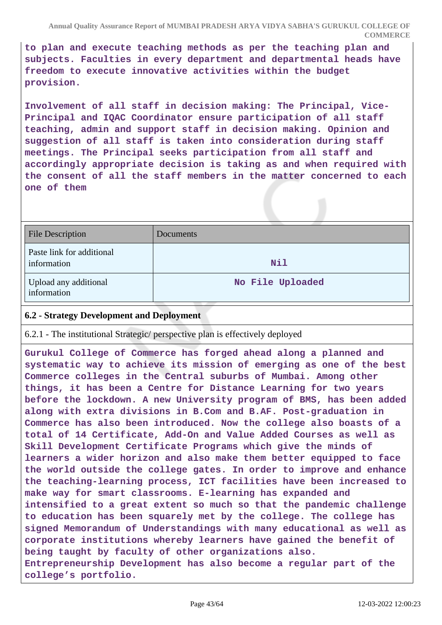**to plan and execute teaching methods as per the teaching plan and subjects. Faculties in every department and departmental heads have freedom to execute innovative activities within the budget provision.**

**Involvement of all staff in decision making: The Principal, Vice-Principal and IQAC Co-ordinator ensure participation of all staff teaching, admin and support staff in decision making. Opinion and suggestion of all staff is taken into consideration during staff meetings. The Principal seeks participation from all staff and accordingly appropriate decision is taking as and when required with the consent of all the staff members in the matter concerned to each one of them**

| <b>File Description</b>                  | Documents        |
|------------------------------------------|------------------|
| Paste link for additional<br>information | Nil              |
| Upload any additional<br>information     | No File Uploaded |

### **6.2 - Strategy Development and Deployment**

6.2.1 - The institutional Strategic/ perspective plan is effectively deployed

**Gurukul College of Commerce has forged ahead along a planned and systematic way to achieve its mission of emerging as one of the best Commerce colleges in the Central suburbs of Mumbai. Among other things, it has been a Centre for Distance Learning for two years before the lockdown. A new University program of BMS, has been added along with extra divisions in B.Com and B.AF. Post-graduation in Commerce has also been introduced. Now the college also boasts of a total of 14 Certificate, Add-On and Value Added Courses as well as Skill Development Certificate Programs which give the minds of learners a wider horizon and also make them better equipped to face the world outside the college gates. In order to improve and enhance the teaching-learning process, ICT facilities have been increased to make way for smart classrooms. E-learning has expanded and intensified to a great extent so much so that the pandemic challenge to education has been squarely met by the college. The college has signed Memorandum of Understandings with many educational as well as corporate institutions whereby learners have gained the benefit of being taught by faculty of other organizations also. Entrepreneurship Development has also become a regular part of the college's portfolio.**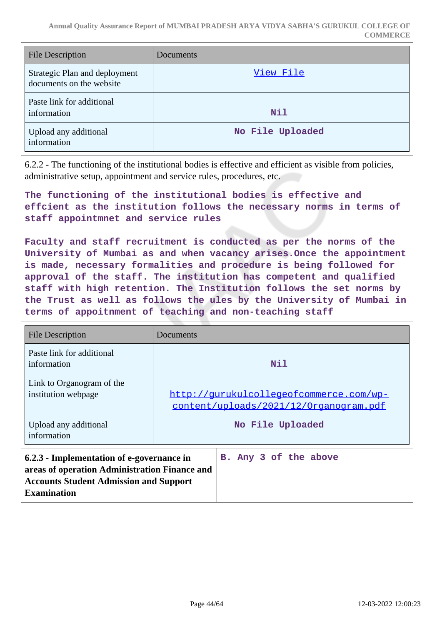| <b>File Description</b>                                   | Documents        |
|-----------------------------------------------------------|------------------|
| Strategic Plan and deployment<br>documents on the website | View File        |
| Paste link for additional<br>information                  | Nil              |
| Upload any additional<br>information                      | No File Uploaded |

6.2.2 - The functioning of the institutional bodies is effective and efficient as visible from policies, administrative setup, appointment and service rules, procedures, etc.

**The functioning of the institutional bodies is effective and effcient as the institution follows the necessary norms in terms of staff appointmnet and service rules**

**Faculty and staff recruitment is conducted as per the norms of the University of Mumbai as and when vacancy arises.Once the appointment is made, necessary formalities and procedure is being followed for approval of the staff. The institution has competent and qualified staff with high retention. The Institution follows the set norms by the Trust as well as follows the ules by the University of Mumbai in terms of appoitnment of teaching and non-teaching staff**

| <b>File Description</b>                                                                                                                                           | Documents                                                                         |  |
|-------------------------------------------------------------------------------------------------------------------------------------------------------------------|-----------------------------------------------------------------------------------|--|
| Paste link for additional<br>information                                                                                                                          | Nil                                                                               |  |
| Link to Organogram of the<br>institution webpage                                                                                                                  | http://qurukulcollegeofcommerce.com/wp-<br>content/uploads/2021/12/Organogram.pdf |  |
| Upload any additional<br>information                                                                                                                              | No File Uploaded                                                                  |  |
| 6.2.3 - Implementation of e-governance in<br>areas of operation Administration Finance and<br><b>Accounts Student Admission and Support</b><br><b>Examination</b> | B. Any 3 of the above                                                             |  |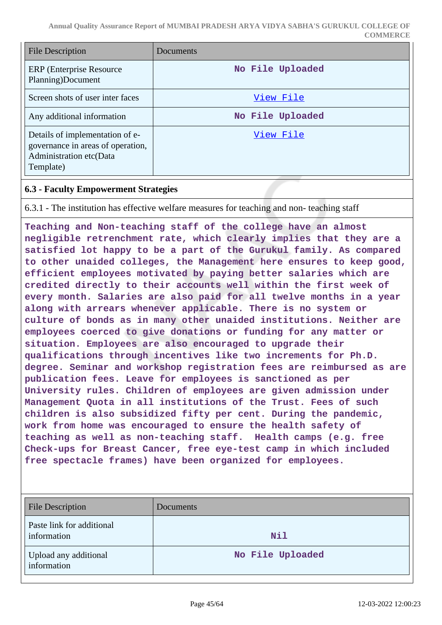| <b>File Description</b>                                                                                      | Documents        |
|--------------------------------------------------------------------------------------------------------------|------------------|
| ERP (Enterprise Resource)<br>Planning)Document                                                               | No File Uploaded |
| Screen shots of user inter faces                                                                             | View File        |
| Any additional information                                                                                   | No File Uploaded |
| Details of implementation of e-<br>governance in areas of operation,<br>Administration etc(Data<br>Template) | View File        |

### **6.3 - Faculty Empowerment Strategies**

6.3.1 - The institution has effective welfare measures for teaching and non- teaching staff

**Teaching and Non-teaching staff of the college have an almost negligible retrenchment rate, which clearly implies that they are a satisfied lot happy to be a part of the Gurukul family. As compared to other unaided colleges, the Management here ensures to keep good, efficient employees motivated by paying better salaries which are credited directly to their accounts well within the first week of every month. Salaries are also paid for all twelve months in a year along with arrears whenever applicable. There is no system or culture of bonds as in many other unaided institutions. Neither are employees coerced to give donations or funding for any matter or situation. Employees are also encouraged to upgrade their qualifications through incentives like two increments for Ph.D. degree. Seminar and workshop registration fees are reimbursed as are publication fees. Leave for employees is sanctioned as per University rules. Children of employees are given admission under Management Quota in all institutions of the Trust. Fees of such children is also subsidized fifty per cent. During the pandemic, work from home was encouraged to ensure the health safety of teaching as well as non-teaching staff. Health camps (e.g. free Check-ups for Breast Cancer, free eye-test camp in which included free spectacle frames) have been organized for employees.** 

| <b>File Description</b>                  | Documents        |
|------------------------------------------|------------------|
| Paste link for additional<br>information | Nil              |
| Upload any additional<br>information     | No File Uploaded |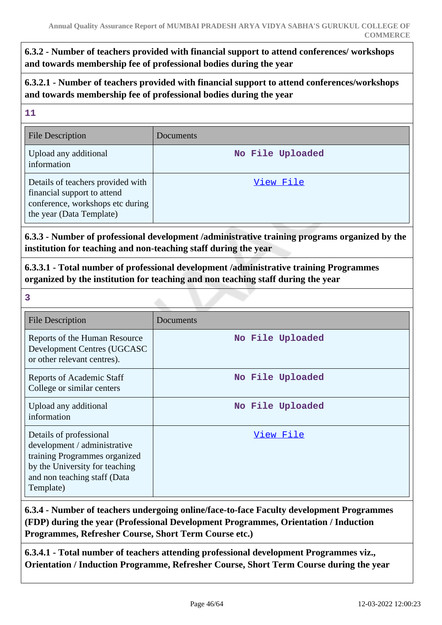# **6.3.2 - Number of teachers provided with financial support to attend conferences/ workshops and towards membership fee of professional bodies during the year**

**6.3.2.1 - Number of teachers provided with financial support to attend conferences/workshops and towards membership fee of professional bodies during the year**

#### **11**

| <b>File Description</b>                                                                                                          | Documents        |
|----------------------------------------------------------------------------------------------------------------------------------|------------------|
| Upload any additional<br>information                                                                                             | No File Uploaded |
| Details of teachers provided with<br>financial support to attend<br>conference, workshops etc during<br>the year (Data Template) | View File        |

**6.3.3 - Number of professional development /administrative training programs organized by the institution for teaching and non-teaching staff during the year**

**6.3.3.1 - Total number of professional development /administrative training Programmes organized by the institution for teaching and non teaching staff during the year**

**3**

| <b>File Description</b>                                                                                                                                                 | Documents        |
|-------------------------------------------------------------------------------------------------------------------------------------------------------------------------|------------------|
| Reports of the Human Resource<br>Development Centres (UGCASC<br>or other relevant centres).                                                                             | No File Uploaded |
| Reports of Academic Staff<br>College or similar centers                                                                                                                 | No File Uploaded |
| Upload any additional<br>information                                                                                                                                    | No File Uploaded |
| Details of professional<br>development / administrative<br>training Programmes organized<br>by the University for teaching<br>and non teaching staff (Data<br>Template) | View File        |

**6.3.4 - Number of teachers undergoing online/face-to-face Faculty development Programmes (FDP) during the year (Professional Development Programmes, Orientation / Induction Programmes, Refresher Course, Short Term Course etc.)**

**6.3.4.1 - Total number of teachers attending professional development Programmes viz., Orientation / Induction Programme, Refresher Course, Short Term Course during the year**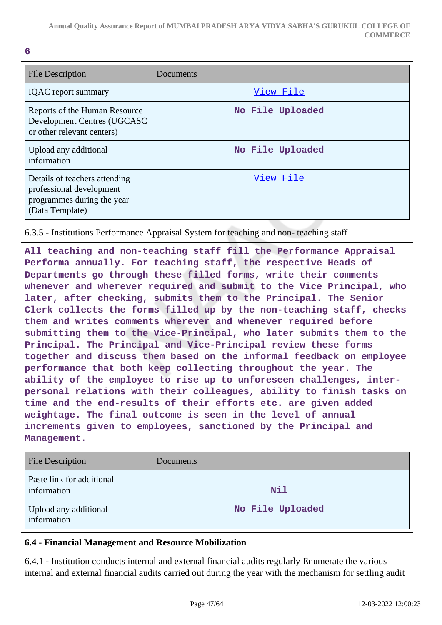|   | v            |  |
|---|--------------|--|
|   | ı            |  |
| × | I<br>٠<br>۰. |  |
|   |              |  |

| File Description                                                                                           | Documents        |
|------------------------------------------------------------------------------------------------------------|------------------|
| <b>IQAC</b> report summary                                                                                 | View File        |
| Reports of the Human Resource<br>Development Centres (UGCASC<br>or other relevant centers)                 | No File Uploaded |
| Upload any additional<br>information                                                                       | No File Uploaded |
| Details of teachers attending<br>professional development<br>programmes during the year<br>(Data Template) | View File        |

6.3.5 - Institutions Performance Appraisal System for teaching and non- teaching staff

**All teaching and non-teaching staff fill the Performance Appraisal Performa annually. For teaching staff, the respective Heads of Departments go through these filled forms, write their comments whenever and wherever required and submit to the Vice Principal, who later, after checking, submits them to the Principal. The Senior Clerk collects the forms filled up by the non-teaching staff, checks them and writes comments wherever and whenever required before submitting them to the Vice-Principal, who later submits them to the Principal. The Principal and Vice-Principal review these forms together and discuss them based on the informal feedback on employee performance that both keep collecting throughout the year. The ability of the employee to rise up to unforeseen challenges, interpersonal relations with their colleagues, ability to finish tasks on time and the end-results of their efforts etc. are given added weightage. The final outcome is seen in the level of annual increments given to employees, sanctioned by the Principal and Management.**

| <b>File Description</b>                  | Documents        |
|------------------------------------------|------------------|
| Paste link for additional<br>information | Nil              |
| Upload any additional<br>information     | No File Uploaded |

### **6.4 - Financial Management and Resource Mobilization**

6.4.1 - Institution conducts internal and external financial audits regularly Enumerate the various internal and external financial audits carried out during the year with the mechanism for settling audit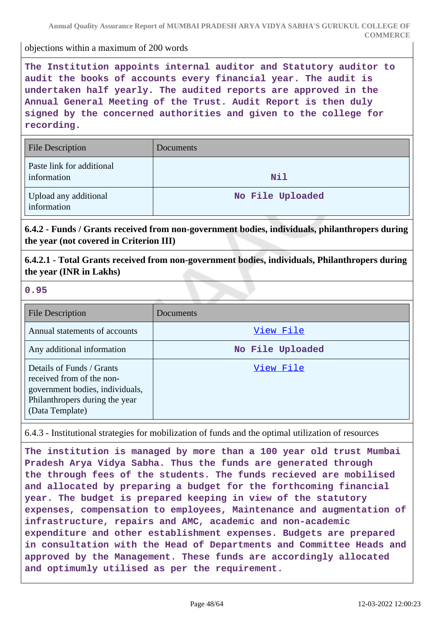objections within a maximum of 200 words

**The Institution appoints internal auditor and Statutory auditor to audit the books of accounts every financial year. The audit is undertaken half yearly. The audited reports are approved in the Annual General Meeting of the Trust. Audit Report is then duly signed by the concerned authorities and given to the college for recording.**

| <b>File Description</b>                  | <b>Documents</b> |
|------------------------------------------|------------------|
| Paste link for additional<br>information | Nil              |
| Upload any additional<br>information     | No File Uploaded |

**6.4.2 - Funds / Grants received from non-government bodies, individuals, philanthropers during the year (not covered in Criterion III)**

**6.4.2.1 - Total Grants received from non-government bodies, individuals, Philanthropers during the year (INR in Lakhs)**

#### **0.95**

| <b>File Description</b>                                                                                                                        | Documents        |
|------------------------------------------------------------------------------------------------------------------------------------------------|------------------|
| Annual statements of accounts                                                                                                                  | View File        |
| Any additional information                                                                                                                     | No File Uploaded |
| Details of Funds / Grants<br>received from of the non-<br>government bodies, individuals,<br>Philanthropers during the year<br>(Data Template) | View File        |

6.4.3 - Institutional strategies for mobilization of funds and the optimal utilization of resources

**The institution is managed by more than a 100 year old trust Mumbai Pradesh Arya Vidya Sabha. Thus the funds are generated through the through fees of the students. The funds recieved are mobilised and allocated by preparing a budget for the forthcoming financial year. The budget is prepared keeping in view of the statutory expenses, compensation to employees, Maintenance and augmentation of infrastructure, repairs and AMC, academic and non-academic expenditure and other establishment expenses. Budgets are prepared in consultation with the Head of Departments and Committee Heads and approved by the Management. These funds are accordingly allocated and optimumly utilised as per the requirement.**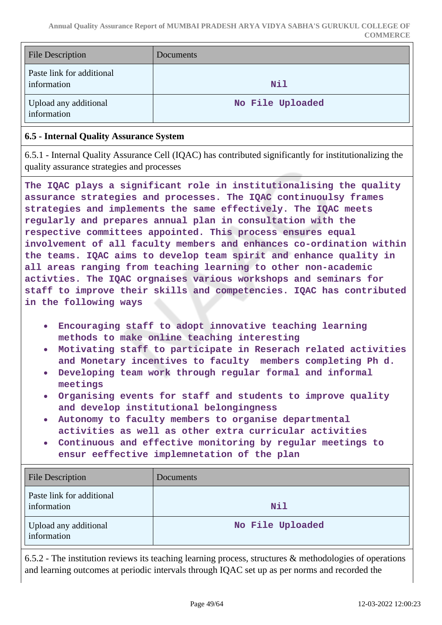| <b>File Description</b>                  | <b>Documents</b> |
|------------------------------------------|------------------|
| Paste link for additional<br>information | Nil              |
| Upload any additional<br>information     | No File Uploaded |

### **6.5 - Internal Quality Assurance System**

6.5.1 - Internal Quality Assurance Cell (IQAC) has contributed significantly for institutionalizing the quality assurance strategies and processes

**The IQAC plays a significant role in institutionalising the quality assurance strategies and processes. The IQAC continuoulsy frames strategies and implements the same effectively. The IQAC meets regularly and prepares annual plan in consultation with the respective committees appointed. This process ensures equal involvement of all faculty members and enhances co-ordination within the teams. IQAC aims to develop team spirit and enhance quality in all areas ranging from teaching learning to other non-academic activties. The IQAC orgnaises various workshops and seminars for staff to improve their skills and competencies. IQAC has contributed in the following ways**

- **Encouraging staff to adopt innovative teaching learning**  $\bullet$ **methods to make online teaching interesting**
- **Motivating staff to participate in Reserach related activities and Monetary incentives to faculty members completing Ph d.**
- **Developing team work through regular formal and informal meetings**
- **Organising events for staff and students to improve quality and develop institutional belongingness**
- **Autonomy to faculty members to organise departmental activities as well as other extra curricular activities**
- **Continuous and effective monitoring by regular meetings to**  $\bullet$ **ensur eeffective implemnetation of the plan**

| <b>File Description</b>                  | Documents        |
|------------------------------------------|------------------|
| Paste link for additional<br>information | Nil              |
| Upload any additional<br>information     | No File Uploaded |

6.5.2 - The institution reviews its teaching learning process, structures & methodologies of operations and learning outcomes at periodic intervals through IQAC set up as per norms and recorded the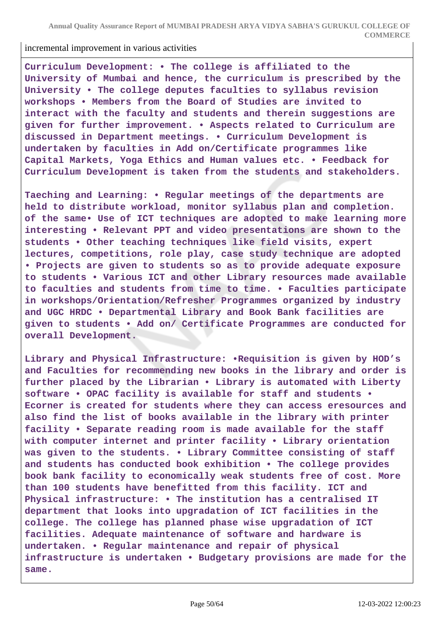incremental improvement in various activities

**Curriculum Development: • The college is affiliated to the University of Mumbai and hence, the curriculum is prescribed by the University • The college deputes faculties to syllabus revision workshops • Members from the Board of Studies are invited to interact with the faculty and students and therein suggestions are given for further improvement. • Aspects related to Curriculum are discussed in Department meetings. • Curriculum Development is undertaken by faculties in Add on/Certificate programmes like Capital Markets, Yoga Ethics and Human values etc. • Feedback for Curriculum Development is taken from the students and stakeholders.** 

**Taeching and Learning: • Regular meetings of the departments are held to distribute workload, monitor syllabus plan and completion. of the same• Use of ICT techniques are adopted to make learning more interesting • Relevant PPT and video presentations are shown to the students • Other teaching techniques like field visits, expert lectures, competitions, role play, case study technique are adopted • Projects are given to students so as to provide adequate exposure to students • Various ICT and other Library resources made available to faculties and students from time to time. • Faculties participate in workshops/Orientation/Refresher Programmes organized by industry and UGC HRDC • Departmental Library and Book Bank facilities are given to students • Add on/ Certificate Programmes are conducted for overall Development.**

**Library and Physical Infrastructure: •Requisition is given by HOD's and Faculties for recommending new books in the library and order is further placed by the Librarian • Library is automated with Liberty software • OPAC facility is available for staff and students • Ecorner is created for students where they can access eresources and also find the list of books available in the library with printer facility • Separate reading room is made available for the staff with computer internet and printer facility • Library orientation was given to the students. • Library Committee consisting of staff and students has conducted book exhibition • The college provides book bank facility to economically weak students free of cost. More than 100 students have benefitted from this facility. ICT and Physical infrastructure: • The institution has a centralised IT department that looks into upgradation of ICT facilities in the college. The college has planned phase wise upgradation of ICT facilities. Adequate maintenance of software and hardware is undertaken. • Regular maintenance and repair of physical infrastructure is undertaken • Budgetary provisions are made for the same.**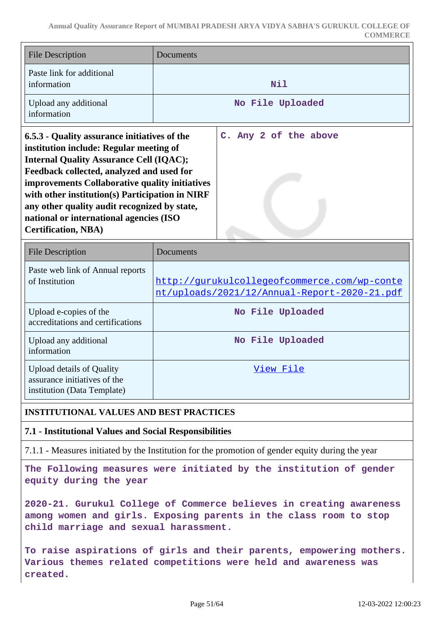| <b>File Description</b>                                                                                                                                                                                                                                                                                                                                                                                              | Documents                                                                                    |
|----------------------------------------------------------------------------------------------------------------------------------------------------------------------------------------------------------------------------------------------------------------------------------------------------------------------------------------------------------------------------------------------------------------------|----------------------------------------------------------------------------------------------|
| Paste link for additional<br>information                                                                                                                                                                                                                                                                                                                                                                             | Nil                                                                                          |
| Upload any additional<br>information                                                                                                                                                                                                                                                                                                                                                                                 | No File Uploaded                                                                             |
| 6.5.3 - Quality assurance initiatives of the<br>institution include: Regular meeting of<br><b>Internal Quality Assurance Cell (IQAC);</b><br>Feedback collected, analyzed and used for<br>improvements Collaborative quality initiatives<br>with other institution(s) Participation in NIRF<br>any other quality audit recognized by state,<br>national or international agencies (ISO<br><b>Certification, NBA)</b> | C. Any 2 of the above                                                                        |
| <b>File Description</b>                                                                                                                                                                                                                                                                                                                                                                                              | <b>Documents</b>                                                                             |
| Paste web link of Annual reports<br>of Institution                                                                                                                                                                                                                                                                                                                                                                   | http://qurukulcollegeofcommerce.com/wp-conte<br>nt/uploads/2021/12/Annual-Report-2020-21.pdf |
| Upload e-copies of the<br>accreditations and certifications                                                                                                                                                                                                                                                                                                                                                          | No File Uploaded                                                                             |
| Upload any additional<br>information                                                                                                                                                                                                                                                                                                                                                                                 | No File Uploaded                                                                             |
| <b>Upload details of Quality</b><br>assurance initiatives of the<br>institution (Data Template)                                                                                                                                                                                                                                                                                                                      | View File                                                                                    |

### **INSTITUTIONAL VALUES AND BEST PRACTICES**

**7.1 - Institutional Values and Social Responsibilities**

7.1.1 - Measures initiated by the Institution for the promotion of gender equity during the year

**The Following measures were initiated by the institution of gender equity during the year**

**2020-21. Gurukul College of Commerce believes in creating awareness among women and girls. Exposing parents in the class room to stop child marriage and sexual harassment.**

**To raise aspirations of girls and their parents, empowering mothers. Various themes related competitions were held and awareness was created.**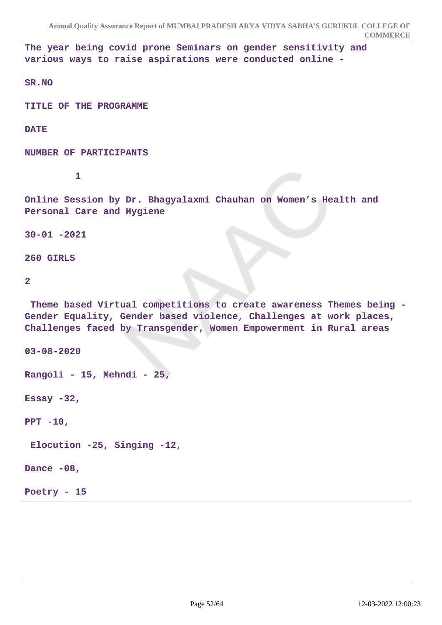```
Annual Quality Assurance Report of MUMBAI PRADESH ARYA VIDYA SABHA'S GURUKUL COLLEGE OF
                                                               COMMERCE
The year being covid prone Seminars on gender sensitivity and
various ways to raise aspirations were conducted online -
SR.NO
TITLE OF THE PROGRAMME 
DATE
NUMBER OF PARTICIPANTS
1
Online Session by Dr. Bhagyalaxmi Chauhan on Women's Health and
Personal Care and Hygiene
30-01 -2021
260 GIRLS
2
  Theme based Virtual competitions to create awareness Themes being -
Gender Equality, Gender based violence, Challenges at work places,
Challenges faced by Transgender, Women Empowerment in Rural areas
03-08-2020
Rangoli - 15, Mehndi - 25,
Essay -32,
PPT -10,
 Elocution -25, Singing -12,
Dance -08,
Poetry - 15
```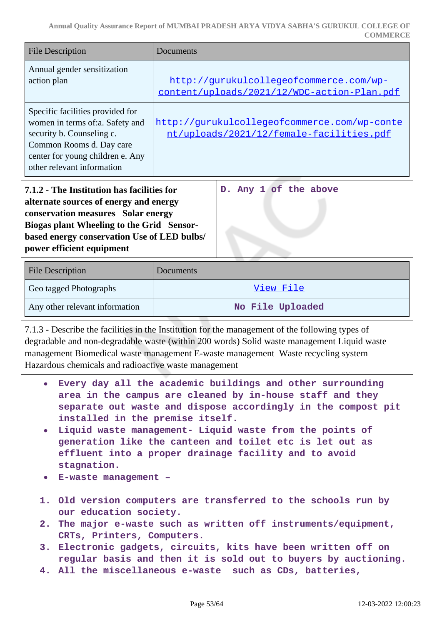| <b>File Description</b>                                                                                                                                                                                                                                                                                                                                                                                                                                                                                                                                                      | Documents                                                                                                                                                                                                                                                                         |  |
|------------------------------------------------------------------------------------------------------------------------------------------------------------------------------------------------------------------------------------------------------------------------------------------------------------------------------------------------------------------------------------------------------------------------------------------------------------------------------------------------------------------------------------------------------------------------------|-----------------------------------------------------------------------------------------------------------------------------------------------------------------------------------------------------------------------------------------------------------------------------------|--|
| Annual gender sensitization<br>action plan                                                                                                                                                                                                                                                                                                                                                                                                                                                                                                                                   | http://gurukulcollegeofcommerce.com/wp-<br>content/uploads/2021/12/WDC-action-Plan.pdf                                                                                                                                                                                            |  |
| Specific facilities provided for<br>women in terms of:a. Safety and<br>security b. Counseling c.<br>Common Rooms d. Day care<br>center for young children e. Any<br>other relevant information                                                                                                                                                                                                                                                                                                                                                                               | http://qurukulcollegeofcommerce.com/wp-conte<br>nt/uploads/2021/12/female-facilities.pdf                                                                                                                                                                                          |  |
| 7.1.2 - The Institution has facilities for<br>alternate sources of energy and energy<br>conservation measures Solar energy<br><b>Biogas plant Wheeling to the Grid Sensor-</b><br>based energy conservation Use of LED bulbs/<br>power efficient equipment                                                                                                                                                                                                                                                                                                                   | Any 1 of the above<br>$D$ .                                                                                                                                                                                                                                                       |  |
| <b>File Description</b>                                                                                                                                                                                                                                                                                                                                                                                                                                                                                                                                                      | Documents                                                                                                                                                                                                                                                                         |  |
| Geo tagged Photographs                                                                                                                                                                                                                                                                                                                                                                                                                                                                                                                                                       | View File                                                                                                                                                                                                                                                                         |  |
| Any other relevant information                                                                                                                                                                                                                                                                                                                                                                                                                                                                                                                                               | No File Uploaded                                                                                                                                                                                                                                                                  |  |
| Hazardous chemicals and radioactive waste management                                                                                                                                                                                                                                                                                                                                                                                                                                                                                                                         | 7.1.3 - Describe the facilities in the Institution for the management of the following types of<br>degradable and non-degradable waste (within 200 words) Solid waste management Liquid waste<br>management Biomedical waste management E-waste management Waste recycling system |  |
| • Every day all the academic buildings and other surrounding<br>area in the campus are cleaned by in-house staff and they<br>separate out waste and dispose accordingly in the compost pit<br>installed in the premise itself.<br>Liquid waste management- Liquid waste from the points of<br>$\bullet$<br>generation like the canteen and toilet etc is let out as<br>effluent into a proper drainage facility and to avoid<br>stagnation.<br>E-waste management -<br>$\bullet$<br>1. Old version computers are transferred to the schools run by<br>our education society. |                                                                                                                                                                                                                                                                                   |  |
| CRTs, Printers, Computers.                                                                                                                                                                                                                                                                                                                                                                                                                                                                                                                                                   | 2. The major e-waste such as written off instruments/equipment,                                                                                                                                                                                                                   |  |
|                                                                                                                                                                                                                                                                                                                                                                                                                                                                                                                                                                              | 3. Electronic gadgets, circuits, kits have been written off on<br>regular basis and then it is sold out to buyers by auctioning.<br>4. All the miscellaneous e-waste such as CDs, batteries,                                                                                      |  |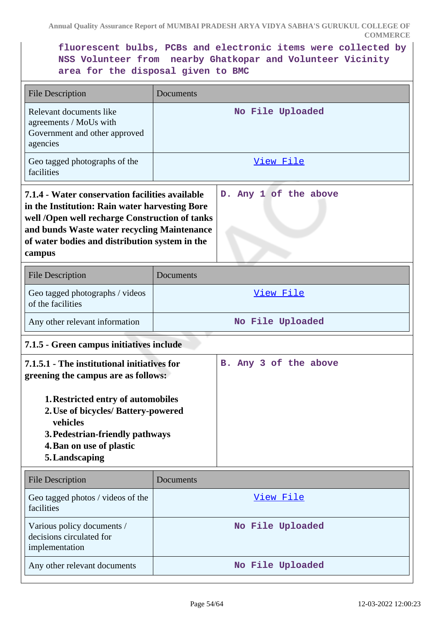**fluorescent bulbs, PCBs and electronic items were collected by NSS Volunteer from nearby Ghatkopar and Volunteer Vicinity area for the disposal given to BMC**

| <b>File Description</b>                                                                                                                                                                                                                                        | Documents                                |                       |  |
|----------------------------------------------------------------------------------------------------------------------------------------------------------------------------------------------------------------------------------------------------------------|------------------------------------------|-----------------------|--|
| Relevant documents like<br>agreements / MoUs with<br>Government and other approved<br>agencies                                                                                                                                                                 |                                          | No File Uploaded      |  |
| Geo tagged photographs of the<br>facilities                                                                                                                                                                                                                    |                                          | View File             |  |
| 7.1.4 - Water conservation facilities available<br>in the Institution: Rain water harvesting Bore<br>well /Open well recharge Construction of tanks<br>and bunds Waste water recycling Maintenance<br>of water bodies and distribution system in the<br>campus |                                          | D. Any 1 of the above |  |
| <b>File Description</b>                                                                                                                                                                                                                                        | Documents                                |                       |  |
| Geo tagged photographs / videos<br>of the facilities                                                                                                                                                                                                           |                                          | View File             |  |
| Any other relevant information                                                                                                                                                                                                                                 |                                          | No File Uploaded      |  |
|                                                                                                                                                                                                                                                                | 7.1.5 - Green campus initiatives include |                       |  |
| 7.1.5.1 - The institutional initiatives for<br>greening the campus are as follows:                                                                                                                                                                             |                                          | B. Any 3 of the above |  |
| 1. Restricted entry of automobiles<br>2. Use of bicycles/ Battery-powered<br>vehicles<br>3. Pedestrian-friendly pathways<br>4. Ban on use of plastic<br>5. Landscaping                                                                                         |                                          |                       |  |
| <b>File Description</b>                                                                                                                                                                                                                                        | Documents                                |                       |  |
| Geo tagged photos / videos of the<br>facilities                                                                                                                                                                                                                |                                          | View File             |  |
| Various policy documents /<br>decisions circulated for<br>implementation                                                                                                                                                                                       |                                          | No File Uploaded      |  |
| Any other relevant documents                                                                                                                                                                                                                                   |                                          | No File Uploaded      |  |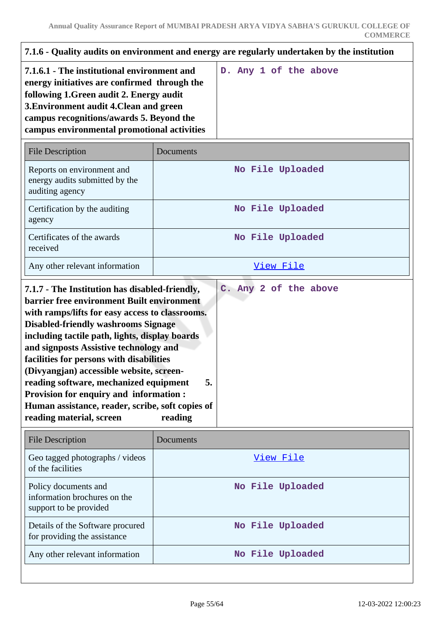| 7.1.6 - Quality audits on environment and energy are regularly undertaken by the institution                                                                                                                                                                                                                                                                                                                                                                                                         |               |                       |
|------------------------------------------------------------------------------------------------------------------------------------------------------------------------------------------------------------------------------------------------------------------------------------------------------------------------------------------------------------------------------------------------------------------------------------------------------------------------------------------------------|---------------|-----------------------|
| 7.1.6.1 - The institutional environment and<br>energy initiatives are confirmed through the<br>following 1. Green audit 2. Energy audit<br>3. Environment audit 4. Clean and green<br>campus recognitions/awards 5. Beyond the<br>campus environmental promotional activities                                                                                                                                                                                                                        |               | D. Any 1 of the above |
| <b>File Description</b>                                                                                                                                                                                                                                                                                                                                                                                                                                                                              | Documents     |                       |
| Reports on environment and<br>energy audits submitted by the<br>auditing agency                                                                                                                                                                                                                                                                                                                                                                                                                      |               | No File Uploaded      |
| Certification by the auditing<br>agency                                                                                                                                                                                                                                                                                                                                                                                                                                                              |               | No File Uploaded      |
| Certificates of the awards<br>received                                                                                                                                                                                                                                                                                                                                                                                                                                                               |               | No File Uploaded      |
| Any other relevant information                                                                                                                                                                                                                                                                                                                                                                                                                                                                       |               | View File             |
| barrier free environment Built environment<br>with ramps/lifts for easy access to classrooms.<br><b>Disabled-friendly washrooms Signage</b><br>including tactile path, lights, display boards<br>and signposts Assistive technology and<br>facilities for persons with disabilities<br>(Divyangjan) accessible website, screen-<br>reading software, mechanized equipment<br>Provision for enquiry and information :<br>Human assistance, reader, scribe, soft copies of<br>reading material, screen | 5.<br>reading |                       |
| <b>File Description</b>                                                                                                                                                                                                                                                                                                                                                                                                                                                                              | Documents     |                       |
| Geo tagged photographs / videos<br>of the facilities                                                                                                                                                                                                                                                                                                                                                                                                                                                 |               | View File             |
| Policy documents and<br>information brochures on the<br>support to be provided                                                                                                                                                                                                                                                                                                                                                                                                                       |               | No File Uploaded      |
| Details of the Software procured<br>for providing the assistance                                                                                                                                                                                                                                                                                                                                                                                                                                     |               | No File Uploaded      |
| Any other relevant information                                                                                                                                                                                                                                                                                                                                                                                                                                                                       |               | No File Uploaded      |
|                                                                                                                                                                                                                                                                                                                                                                                                                                                                                                      |               |                       |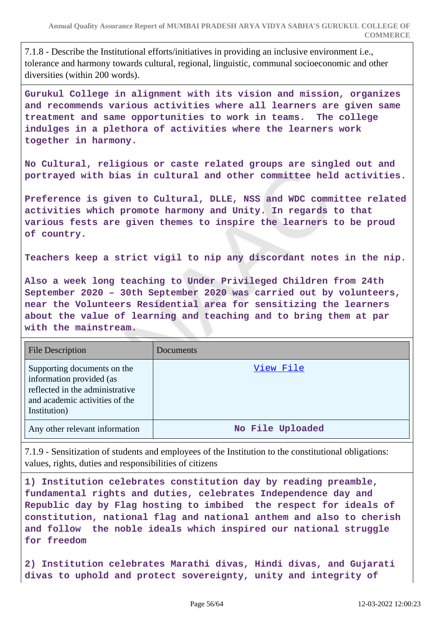7.1.8 - Describe the Institutional efforts/initiatives in providing an inclusive environment i.e., tolerance and harmony towards cultural, regional, linguistic, communal socioeconomic and other diversities (within 200 words).

**Gurukul College in alignment with its vision and mission, organizes and recommends various activities where all learners are given same treatment and same opportunities to work in teams. The college indulges in a plethora of activities where the learners work together in harmony.**

**No Cultural, religious or caste related groups are singled out and portrayed with bias in cultural and other committee held activities.**

**Preference is given to Cultural, DLLE, NSS and WDC committee related activities which promote harmony and Unity. In regards to that various fests are given themes to inspire the learners to be proud of country.**

**Teachers keep a strict vigil to nip any discordant notes in the nip.**

**Also a week long teaching to Under Privileged Children from 24th September 2020 – 30th September 2020 was carried out by volunteers, near the Volunteers Residential area for sensitizing the learners about the value of learning and teaching and to bring them at par with the mainstream.**

| <b>File Description</b>                                                                                                                      | Documents        |
|----------------------------------------------------------------------------------------------------------------------------------------------|------------------|
| Supporting documents on the<br>information provided (as<br>reflected in the administrative<br>and academic activities of the<br>Institution) | View File        |
| Any other relevant information                                                                                                               | No File Uploaded |

7.1.9 - Sensitization of students and employees of the Institution to the constitutional obligations: values, rights, duties and responsibilities of citizens

**1) Institution celebrates constitution day by reading preamble, fundamental rights and duties, celebrates Independence day and Republic day by Flag hosting to imbibed the respect for ideals of constitution, national flag and national anthem and also to cherish and follow the noble ideals which inspired our national struggle for freedom**

**2) Institution celebrates Marathi divas, Hindi divas, and Gujarati divas to uphold and protect sovereignty, unity and integrity of**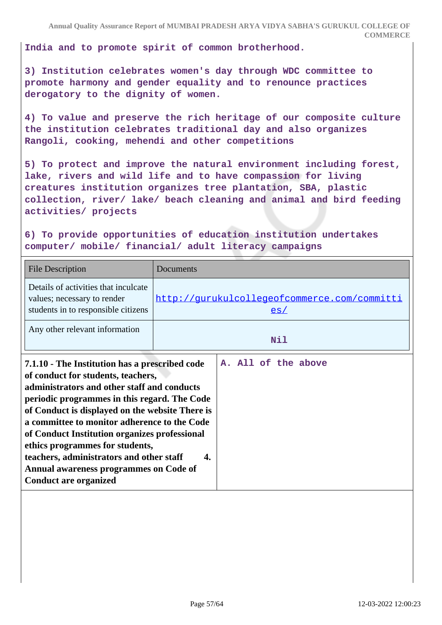**India and to promote spirit of common brotherhood.**

**3) Institution celebrates women's day through WDC committee to promote harmony and gender equality and to renounce practices derogatory to the dignity of women.**

**4) To value and preserve the rich heritage of our composite culture the institution celebrates traditional day and also organizes Rangoli, cooking, mehendi and other competitions**

**5) To protect and improve the natural environment including forest, lake, rivers and wild life and to have compassion for living creatures institution organizes tree plantation, SBA, plastic collection, river/ lake/ beach cleaning and animal and bird feeding activities/ projects**

**6) To provide opportunities of education institution undertakes computer/ mobile/ financial/ adult literacy campaigns**

| <b>File Description</b>                                                                                                                                                                                                                                                                                                                                                                                                                                                                          | Documents                                           |
|--------------------------------------------------------------------------------------------------------------------------------------------------------------------------------------------------------------------------------------------------------------------------------------------------------------------------------------------------------------------------------------------------------------------------------------------------------------------------------------------------|-----------------------------------------------------|
| Details of activities that inculcate<br>values; necessary to render<br>students in to responsible citizens                                                                                                                                                                                                                                                                                                                                                                                       | http://qurukulcollegeofcommerce.com/committi<br>es/ |
| Any other relevant information                                                                                                                                                                                                                                                                                                                                                                                                                                                                   | Nil                                                 |
| 7.1.10 - The Institution has a prescribed code<br>of conduct for students, teachers,<br>administrators and other staff and conducts<br>periodic programmes in this regard. The Code<br>of Conduct is displayed on the website There is<br>a committee to monitor adherence to the Code<br>of Conduct Institution organizes professional<br>ethics programmes for students,<br>teachers, administrators and other staff<br>Annual awareness programmes on Code of<br><b>Conduct are organized</b> | A. All of the above<br>4.                           |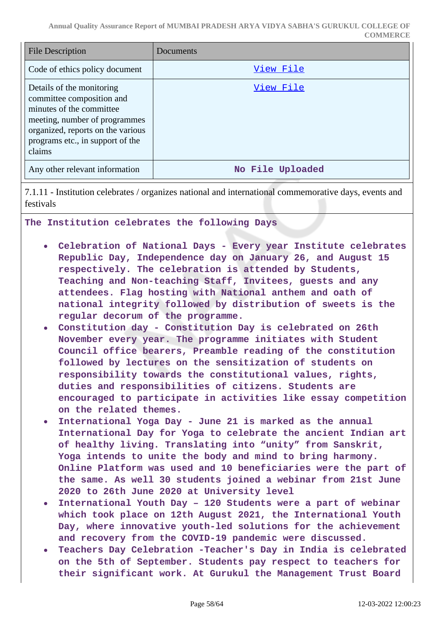**Annual Quality Assurance Report of MUMBAI PRADESH ARYA VIDYA SABHA'S GURUKUL COLLEGE OF COMMERCE**

| <b>File Description</b>                                                                                                                                                                                | Documents        |
|--------------------------------------------------------------------------------------------------------------------------------------------------------------------------------------------------------|------------------|
| Code of ethics policy document                                                                                                                                                                         | View File        |
| Details of the monitoring<br>committee composition and<br>minutes of the committee<br>meeting, number of programmes<br>organized, reports on the various<br>programs etc., in support of the<br>claims | View File        |
| Any other relevant information                                                                                                                                                                         | No File Uploaded |

7.1.11 - Institution celebrates / organizes national and international commemorative days, events and festivals

**The Institution celebrates the following Days**

- **Celebration of National Days Every year Institute celebrates Republic Day, Independence day on January 26, and August 15 respectively. The celebration is attended by Students, Teaching and Non-teaching Staff, Invitees, guests and any attendees. Flag hosting with National anthem and oath of national integrity followed by distribution of sweets is the regular decorum of the programme.**
- **Constitution day Constitution Day is celebrated on 26th November every year. The programme initiates with Student Council office bearers, Preamble reading of the constitution followed by lectures on the sensitization of students on responsibility towards the constitutional values, rights, duties and responsibilities of citizens. Students are encouraged to participate in activities like essay competition on the related themes.**
- **International Yoga Day June 21 is marked as the annual**  $\bullet$ **International Day for Yoga to celebrate the ancient Indian art of healthy living. Translating into "unity" from Sanskrit, Yoga intends to unite the body and mind to bring harmony. Online Platform was used and 10 beneficiaries were the part of the same. As well 30 students joined a webinar from 21st June 2020 to 26th June 2020 at University level**
- **International Youth Day 120 Students were a part of webinar**  $\bullet$ **which took place on 12th August 2021, the International Youth Day, where innovative youth-led solutions for the achievement and recovery from the COVID-19 pandemic were discussed.**
- **Teachers Day Celebration -Teacher's Day in India is celebrated on the 5th of September. Students pay respect to teachers for their significant work. At Gurukul the Management Trust Board**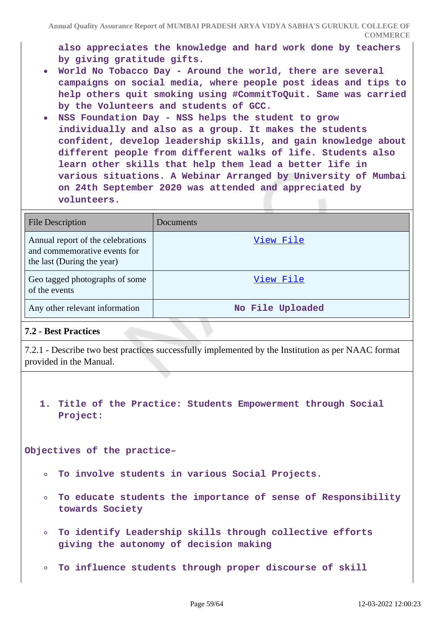**also appreciates the knowledge and hard work done by teachers by giving gratitude gifts.**

- **World No Tobacco Day Around the world, there are several campaigns on social media, where people post ideas and tips to help others quit smoking using #CommitToQuit. Same was carried by the Volunteers and students of GCC.**
- **NSS Foundation Day NSS helps the student to grow individually and also as a group. It makes the students confident, develop leadership skills, and gain knowledge about different people from different walks of life. Students also learn other skills that help them lead a better life in various situations. A Webinar Arranged by University of Mumbai on 24th September 2020 was attended and appreciated by volunteers.**

| <b>File Description</b>                                                                         | Documents        |
|-------------------------------------------------------------------------------------------------|------------------|
| Annual report of the celebrations<br>and commemorative events for<br>the last (During the year) | View File        |
| Geo tagged photographs of some<br>of the events                                                 | View File        |
| Any other relevant information                                                                  | No File Uploaded |

### **7.2 - Best Practices**

7.2.1 - Describe two best practices successfully implemented by the Institution as per NAAC format provided in the Manual.

**1. Title of the Practice: Students Empowerment through Social Project:**

**Objectives of the practice–**

- **To involve students in various Social Projects.**
- **To educate students the importance of sense of Responsibility**  $\circ$ **towards Society**
- **To identify Leadership skills through collective efforts**  $\bullet$ **giving the autonomy of decision making**
- **To influence students through proper discourse of skill**  $\circ$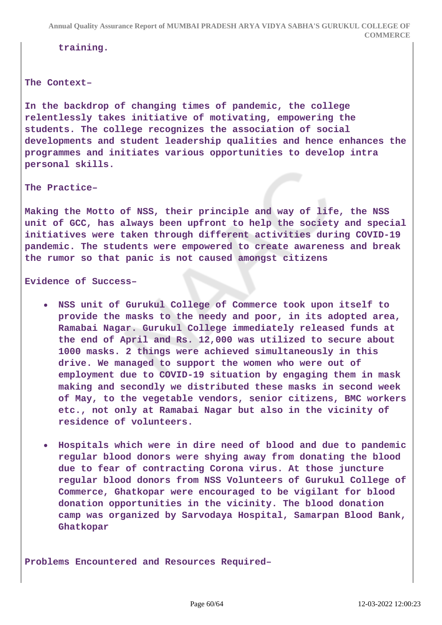**training.**

#### **The Context–**

**In the backdrop of changing times of pandemic, the college relentlessly takes initiative of motivating, empowering the students. The college recognizes the association of social developments and student leadership qualities and hence enhances the programmes and initiates various opportunities to develop intra personal skills.**

**The Practice–**

**Making the Motto of NSS, their principle and way of life, the NSS unit of GCC, has always been upfront to help the society and special initiatives were taken through different activities during COVID-19 pandemic. The students were empowered to create awareness and break the rumor so that panic is not caused amongst citizens**

**Evidence of Success–**

- **NSS unit of Gurukul College of Commerce took upon itself to provide the masks to the needy and poor, in its adopted area, Ramabai Nagar. Gurukul College immediately released funds at the end of April and Rs. 12,000 was utilized to secure about 1000 masks. 2 things were achieved simultaneously in this drive. We managed to support the women who were out of employment due to COVID-19 situation by engaging them in mask making and secondly we distributed these masks in second week of May, to the vegetable vendors, senior citizens, BMC workers etc., not only at Ramabai Nagar but also in the vicinity of residence of volunteers.**
- **Hospitals which were in dire need of blood and due to pandemic regular blood donors were shying away from donating the blood due to fear of contracting Corona virus. At those juncture regular blood donors from NSS Volunteers of Gurukul College of Commerce, Ghatkopar were encouraged to be vigilant for blood donation opportunities in the vicinity. The blood donation camp was organized by Sarvodaya Hospital, Samarpan Blood Bank, Ghatkopar**

**Problems Encountered and Resources Required–**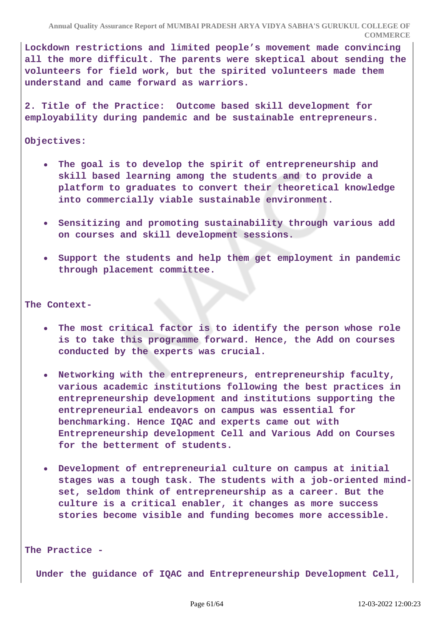**Lockdown restrictions and limited people's movement made convincing all the more difficult. The parents were skeptical about sending the volunteers for field work, but the spirited volunteers made them understand and came forward as warriors.**

**2. Title of the Practice: Outcome based skill development for employability during pandemic and be sustainable entrepreneurs.**

#### **Objectives:**

- **The goal is to develop the spirit of entrepreneurship and skill based learning among the students and to provide a platform to graduates to convert their theoretical knowledge into commercially viable sustainable environment.**
- **Sensitizing and promoting sustainability through various add on courses and skill development sessions.**
- **Support the students and help them get employment in pandemic through placement committee.**

#### **The Context-**

- **The most critical factor is to identify the person whose role is to take this programme forward. Hence, the Add on courses conducted by the experts was crucial.**
- **Networking with the entrepreneurs, entrepreneurship faculty, various academic institutions following the best practices in entrepreneurship development and institutions supporting the entrepreneurial endeavors on campus was essential for benchmarking. Hence IQAC and experts came out with Entrepreneurship development Cell and Various Add on Courses for the betterment of students.**
- **Development of entrepreneurial culture on campus at initial stages was a tough task. The students with a job-oriented mindset, seldom think of entrepreneurship as a career. But the culture is a critical enabler, it changes as more success stories become visible and funding becomes more accessible.**

#### **The Practice -**

 **Under the guidance of IQAC and Entrepreneurship Development Cell,**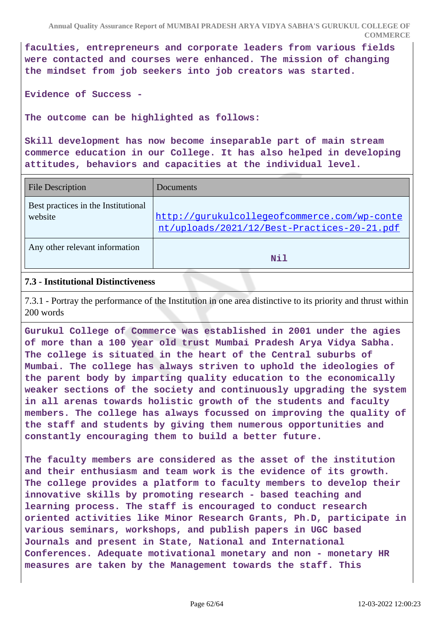**Annual Quality Assurance Report of MUMBAI PRADESH ARYA VIDYA SABHA'S GURUKUL COLLEGE OF COMMERCE**

**faculties, entrepreneurs and corporate leaders from various fields were contacted and courses were enhanced. The mission of changing the mindset from job seekers into job creators was started.**

**Evidence of Success -**

**The outcome can be highlighted as follows:**

**Skill development has now become inseparable part of main stream commerce education in our College. It has also helped in developing attitudes, behaviors and capacities at the individual level.**

| <b>File Description</b>                        | Documents                                                                                   |
|------------------------------------------------|---------------------------------------------------------------------------------------------|
| Best practices in the Institutional<br>website | http://gurukulcollegeofcommerce.com/wp-conte<br>nt/uploads/2021/12/Best-Practices-20-21.pdf |
| Any other relevant information                 | Nil                                                                                         |

#### **7.3 - Institutional Distinctiveness**

7.3.1 - Portray the performance of the Institution in one area distinctive to its priority and thrust within 200 words

**Gurukul College of Commerce was established in 2001 under the agies of more than a 100 year old trust Mumbai Pradesh Arya Vidya Sabha. The college is situated in the heart of the Central suburbs of Mumbai. The college has always striven to uphold the ideologies of the parent body by imparting quality education to the economically weaker sections of the society and continuously upgrading the system in all arenas towards holistic growth of the students and faculty members. The college has always focussed on improving the quality of the staff and students by giving them numerous opportunities and constantly encouraging them to build a better future.**

**The faculty members are considered as the asset of the institution and their enthusiasm and team work is the evidence of its growth. The college provides a platform to faculty members to develop their innovative skills by promoting research - based teaching and learning process. The staff is encouraged to conduct research oriented activities like Minor Research Grants, Ph.D, participate in various seminars, workshops, and publish papers in UGC based Journals and present in State, National and International Conferences. Adequate motivational monetary and non - monetary HR measures are taken by the Management towards the staff. This**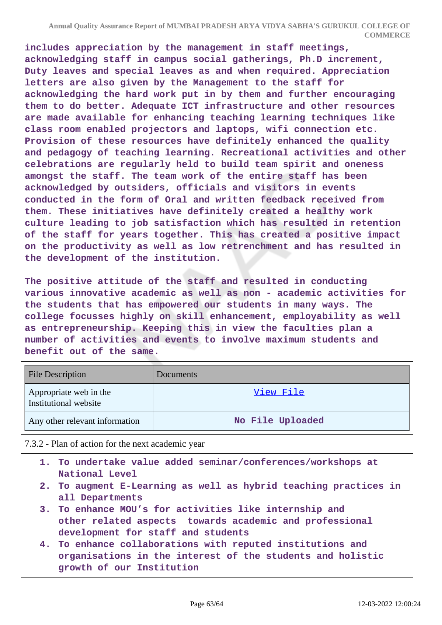**includes appreciation by the management in staff meetings, acknowledging staff in campus social gatherings, Ph.D increment, Duty leaves and special leaves as and when required. Appreciation letters are also given by the Management to the staff for acknowledging the hard work put in by them and further encouraging them to do better. Adequate ICT infrastructure and other resources are made available for enhancing teaching learning techniques like class room enabled projectors and laptops, wifi connection etc. Provision of these resources have definitely enhanced the quality and pedagogy of teaching learning. Recreational activities and other celebrations are regularly held to build team spirit and oneness amongst the staff. The team work of the entire staff has been acknowledged by outsiders, officials and visitors in events conducted in the form of Oral and written feedback received from them. These initiatives have definitely created a healthy work culture leading to job satisfaction which has resulted in retention of the staff for years together. This has created a positive impact on the productivity as well as low retrenchment and has resulted in the development of the institution.**

**The positive attitude of the staff and resulted in conducting various innovative academic as well as non - academic activities for the students that has empowered our students in many ways. The college focusses highly on skill enhancement, employability as well as entrepreneurship. Keeping this in view the faculties plan a number of activities and events to involve maximum students and benefit out of the same.**

| <b>File Description</b>                         | <b>Documents</b> |
|-------------------------------------------------|------------------|
| Appropriate web in the<br>Institutional website | View File        |
| Any other relevant information                  | No File Uploaded |

7.3.2 - Plan of action for the next academic year

- **1. To undertake value added seminar/conferences/workshops at National Level**
- **2. To augment E-Learning as well as hybrid teaching practices in all Departments**
- **3. To enhance MOU's for activities like internship and other related aspects towards academic and professional development for staff and students**
- **4. To enhance collaborations with reputed institutions and organisations in the interest of the students and holistic growth of our Institution**